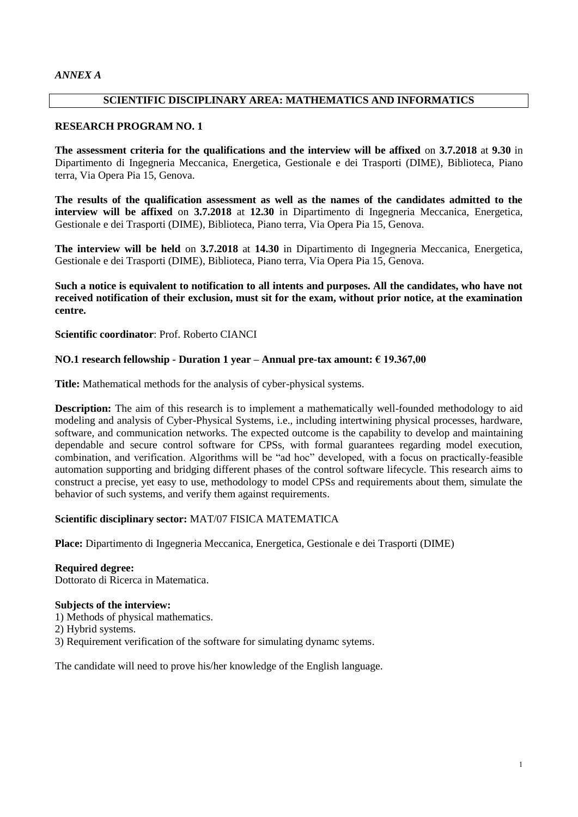# **SCIENTIFIC DISCIPLINARY AREA: MATHEMATICS AND INFORMATICS**

## **RESEARCH PROGRAM NO. 1**

**The assessment criteria for the qualifications and the interview will be affixed** on **3.7.2018** at **9.30** in Dipartimento di Ingegneria Meccanica, Energetica, Gestionale e dei Trasporti (DIME), Biblioteca, Piano terra, Via Opera Pia 15, Genova.

**The results of the qualification assessment as well as the names of the candidates admitted to the interview will be affixed** on **3.7.2018** at **12.30** in Dipartimento di Ingegneria Meccanica, Energetica, Gestionale e dei Trasporti (DIME), Biblioteca, Piano terra, Via Opera Pia 15, Genova.

**The interview will be held** on **3.7.2018** at **14.30** in Dipartimento di Ingegneria Meccanica, Energetica, Gestionale e dei Trasporti (DIME), Biblioteca, Piano terra, Via Opera Pia 15, Genova.

**Such a notice is equivalent to notification to all intents and purposes. All the candidates, who have not received notification of their exclusion, must sit for the exam, without prior notice, at the examination centre.**

**Scientific coordinator**: Prof. Roberto CIANCI

# **NO.1 research fellowship - Duration 1 year – Annual pre-tax amount: € 19.367,00**

**Title:** Mathematical methods for the analysis of cyber-physical systems.

**Description:** The aim of this research is to implement a mathematically well-founded methodology to aid modeling and analysis of Cyber-Physical Systems, i.e., including intertwining physical processes, hardware, software, and communication networks. The expected outcome is the capability to develop and maintaining dependable and secure control software for CPSs, with formal guarantees regarding model execution, combination, and verification. Algorithms will be "ad hoc" developed, with a focus on practically-feasible automation supporting and bridging different phases of the control software lifecycle. This research aims to construct a precise, yet easy to use, methodology to model CPSs and requirements about them, simulate the behavior of such systems, and verify them against requirements.

## **Scientific disciplinary sector:** MAT/07 FISICA MATEMATICA

**Place:** Dipartimento di Ingegneria Meccanica, Energetica, Gestionale e dei Trasporti (DIME)

## **Required degree:**

Dottorato di Ricerca in Matematica.

## **Subjects of the interview:**

- 1) Methods of physical mathematics.
- 2) Hybrid systems.
- 3) Requirement verification of the software for simulating dynamc sytems.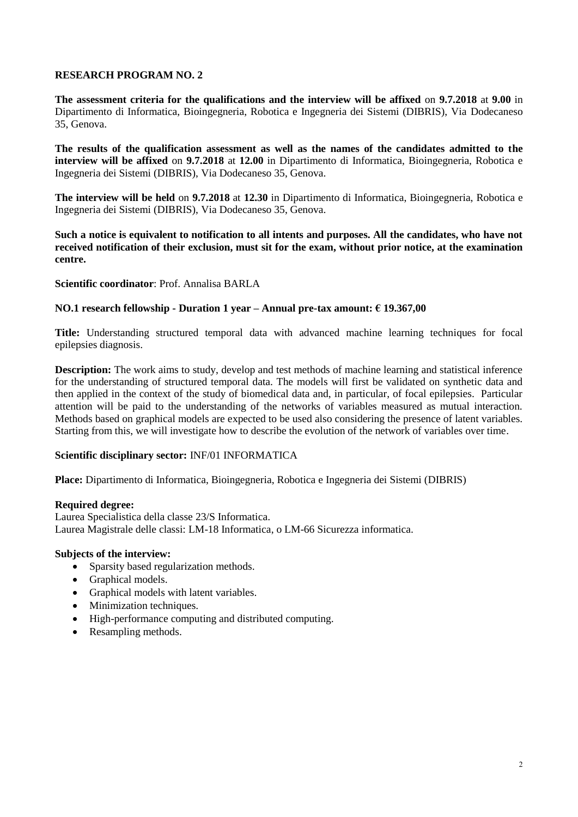**The assessment criteria for the qualifications and the interview will be affixed** on **9.7.2018** at **9.00** in Dipartimento di Informatica, Bioingegneria, Robotica e Ingegneria dei Sistemi (DIBRIS), Via Dodecaneso 35, Genova.

**The results of the qualification assessment as well as the names of the candidates admitted to the interview will be affixed** on **9.7.2018** at **12.00** in Dipartimento di Informatica, Bioingegneria, Robotica e Ingegneria dei Sistemi (DIBRIS), Via Dodecaneso 35, Genova.

**The interview will be held** on **9.7.2018** at **12.30** in Dipartimento di Informatica, Bioingegneria, Robotica e Ingegneria dei Sistemi (DIBRIS), Via Dodecaneso 35, Genova.

**Such a notice is equivalent to notification to all intents and purposes. All the candidates, who have not received notification of their exclusion, must sit for the exam, without prior notice, at the examination centre.**

#### **Scientific coordinator**: Prof. Annalisa BARLA

## **NO.1 research fellowship - Duration 1 year – Annual pre-tax amount: € 19.367,00**

**Title:** Understanding structured temporal data with advanced machine learning techniques for focal epilepsies diagnosis.

**Description:** The work aims to study, develop and test methods of machine learning and statistical inference for the understanding of structured temporal data. The models will first be validated on synthetic data and then applied in the context of the study of biomedical data and, in particular, of focal epilepsies. Particular attention will be paid to the understanding of the networks of variables measured as mutual interaction. Methods based on graphical models are expected to be used also considering the presence of latent variables. Starting from this, we will investigate how to describe the evolution of the network of variables over time.

## **Scientific disciplinary sector:** INF/01 INFORMATICA

**Place:** Dipartimento di Informatica, Bioingegneria, Robotica e Ingegneria dei Sistemi (DIBRIS)

#### **Required degree:**

Laurea Specialistica della classe 23/S Informatica. Laurea Magistrale delle classi: LM-18 Informatica, o LM-66 Sicurezza informatica.

- Sparsity based regularization methods.
- Graphical models.
- Graphical models with latent variables.
- Minimization techniques.
- High-performance computing and distributed computing.
- Resampling methods.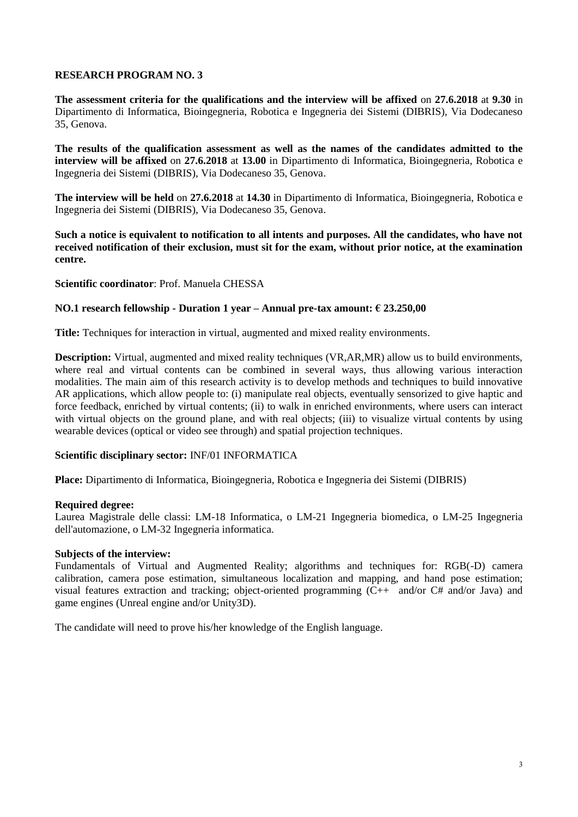**The assessment criteria for the qualifications and the interview will be affixed** on **27.6.2018** at **9.30** in Dipartimento di Informatica, Bioingegneria, Robotica e Ingegneria dei Sistemi (DIBRIS), Via Dodecaneso 35, Genova.

**The results of the qualification assessment as well as the names of the candidates admitted to the interview will be affixed** on **27.6.2018** at **13.00** in Dipartimento di Informatica, Bioingegneria, Robotica e Ingegneria dei Sistemi (DIBRIS), Via Dodecaneso 35, Genova.

**The interview will be held** on **27.6.2018** at **14.30** in Dipartimento di Informatica, Bioingegneria, Robotica e Ingegneria dei Sistemi (DIBRIS), Via Dodecaneso 35, Genova.

**Such a notice is equivalent to notification to all intents and purposes. All the candidates, who have not received notification of their exclusion, must sit for the exam, without prior notice, at the examination centre.**

**Scientific coordinator**: Prof. Manuela CHESSA

#### **NO.1 research fellowship - Duration 1 year – Annual pre-tax amount: € 23.250,00**

**Title:** Techniques for interaction in virtual, augmented and mixed reality environments.

**Description:** Virtual, augmented and mixed reality techniques (VR,AR,MR) allow us to build environments, where real and virtual contents can be combined in several ways, thus allowing various interaction modalities. The main aim of this research activity is to develop methods and techniques to build innovative AR applications, which allow people to: (i) manipulate real objects, eventually sensorized to give haptic and force feedback, enriched by virtual contents; (ii) to walk in enriched environments, where users can interact with virtual objects on the ground plane, and with real objects; (iii) to visualize virtual contents by using wearable devices (optical or video see through) and spatial projection techniques.

## **Scientific disciplinary sector:** INF/01 INFORMATICA

**Place:** Dipartimento di Informatica, Bioingegneria, Robotica e Ingegneria dei Sistemi (DIBRIS)

#### **Required degree:**

Laurea Magistrale delle classi: LM-18 Informatica, o LM-21 Ingegneria biomedica, o LM-25 Ingegneria dell'automazione, o LM-32 Ingegneria informatica.

#### **Subjects of the interview:**

Fundamentals of Virtual and Augmented Reality; algorithms and techniques for: RGB(-D) camera calibration, camera pose estimation, simultaneous localization and mapping, and hand pose estimation; visual features extraction and tracking; object-oriented programming (C++ and/or C# and/or Java) and game engines (Unreal engine and/or Unity3D).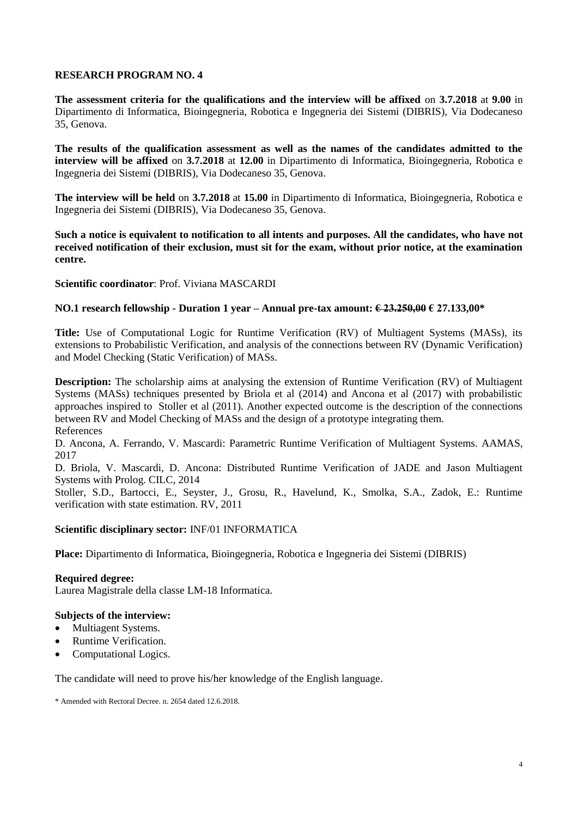**The assessment criteria for the qualifications and the interview will be affixed** on **3.7.2018** at **9.00** in Dipartimento di Informatica, Bioingegneria, Robotica e Ingegneria dei Sistemi (DIBRIS), Via Dodecaneso 35, Genova.

**The results of the qualification assessment as well as the names of the candidates admitted to the interview will be affixed** on **3.7.2018** at **12.00** in Dipartimento di Informatica, Bioingegneria, Robotica e Ingegneria dei Sistemi (DIBRIS), Via Dodecaneso 35, Genova.

**The interview will be held** on **3.7.2018** at **15.00** in Dipartimento di Informatica, Bioingegneria, Robotica e Ingegneria dei Sistemi (DIBRIS), Via Dodecaneso 35, Genova.

**Such a notice is equivalent to notification to all intents and purposes. All the candidates, who have not received notification of their exclusion, must sit for the exam, without prior notice, at the examination centre.**

## **Scientific coordinator**: Prof. Viviana MASCARDI

#### **NO.1 research fellowship - Duration 1 year – Annual pre-tax amount: € 23.250,00 € 27.133,00\***

**Title:** Use of Computational Logic for Runtime Verification (RV) of Multiagent Systems (MASs), its extensions to Probabilistic Verification, and analysis of the connections between RV (Dynamic Verification) and Model Checking (Static Verification) of MASs.

**Description:** The scholarship aims at analysing the extension of Runtime Verification (RV) of Multiagent Systems (MASs) techniques presented by Briola et al (2014) and Ancona et al (2017) with probabilistic approaches inspired to Stoller et al (2011). Another expected outcome is the description of the connections between RV and Model Checking of MASs and the design of a prototype integrating them. References

D. Ancona, A. Ferrando, V. Mascardi: Parametric Runtime Verification of Multiagent Systems. AAMAS, 2017

D. Briola, V. Mascardi, D. Ancona: Distributed Runtime Verification of JADE and Jason Multiagent Systems with Prolog. CILC, 2014

Stoller, S.D., Bartocci, E., Seyster, J., Grosu, R., Havelund, K., Smolka, S.A., Zadok, E.: Runtime verification with state estimation. RV, 2011

## **Scientific disciplinary sector:** INF/01 INFORMATICA

**Place:** Dipartimento di Informatica, Bioingegneria, Robotica e Ingegneria dei Sistemi (DIBRIS)

#### **Required degree:**

Laurea Magistrale della classe LM-18 Informatica.

#### **Subjects of the interview:**

- Multiagent Systems.
- Runtime Verification.
- Computational Logics.

The candidate will need to prove his/her knowledge of the English language.

\* Amended with Rectoral Decree. n. 2654 dated 12.6.2018.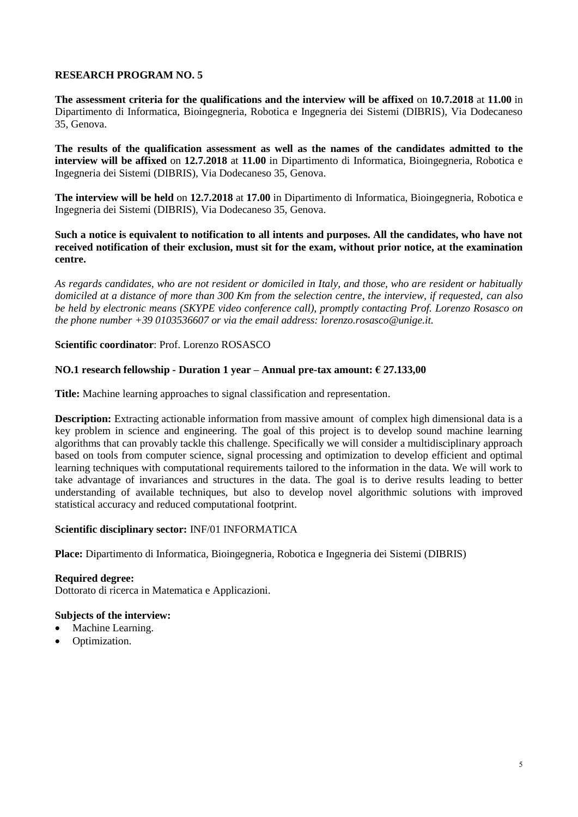**The assessment criteria for the qualifications and the interview will be affixed** on **10.7.2018** at **11.00** in Dipartimento di Informatica, Bioingegneria, Robotica e Ingegneria dei Sistemi (DIBRIS), Via Dodecaneso 35, Genova.

**The results of the qualification assessment as well as the names of the candidates admitted to the interview will be affixed** on **12.7.2018** at **11.00** in Dipartimento di Informatica, Bioingegneria, Robotica e Ingegneria dei Sistemi (DIBRIS), Via Dodecaneso 35, Genova.

**The interview will be held** on **12.7.2018** at **17.00** in Dipartimento di Informatica, Bioingegneria, Robotica e Ingegneria dei Sistemi (DIBRIS), Via Dodecaneso 35, Genova.

#### **Such a notice is equivalent to notification to all intents and purposes. All the candidates, who have not received notification of their exclusion, must sit for the exam, without prior notice, at the examination centre.**

*As regards candidates, who are not resident or domiciled in Italy, and those, who are resident or habitually domiciled at a distance of more than 300 Km from the selection centre, the interview, if requested, can also be held by electronic means (SKYPE video conference call), promptly contacting Prof. Lorenzo Rosasco on the phone number +39 0103536607 or via the email address: lorenzo.rosasco@unige.it.*

## **Scientific coordinator**: Prof. Lorenzo ROSASCO

# **NO.1 research fellowship - Duration 1 year – Annual pre-tax amount: € 27.133,00**

**Title:** Machine learning approaches to signal classification and representation.

**Description:** Extracting actionable information from massive amount of complex high dimensional data is a key problem in science and engineering. The goal of this project is to develop sound machine learning algorithms that can provably tackle this challenge. Specifically we will consider a multidisciplinary approach based on tools from computer science, signal processing and optimization to develop efficient and optimal learning techniques with computational requirements tailored to the information in the data. We will work to take advantage of invariances and structures in the data. The goal is to derive results leading to better understanding of available techniques, but also to develop novel algorithmic solutions with improved statistical accuracy and reduced computational footprint.

## **Scientific disciplinary sector:** INF/01 INFORMATICA

**Place:** Dipartimento di Informatica, Bioingegneria, Robotica e Ingegneria dei Sistemi (DIBRIS)

**Required degree:** Dottorato di ricerca in Matematica e Applicazioni.

- Machine Learning.
- Optimization.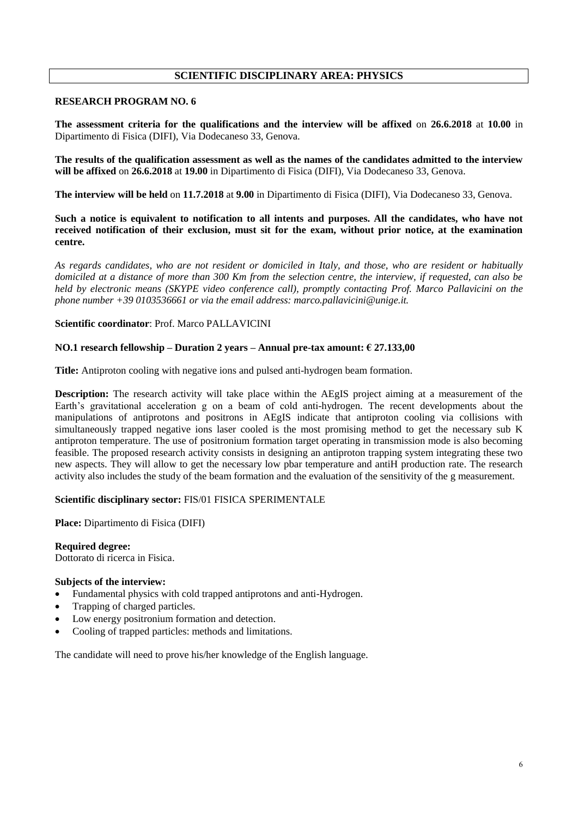# **SCIENTIFIC DISCIPLINARY AREA: PHYSICS**

#### **RESEARCH PROGRAM NO. 6**

**The assessment criteria for the qualifications and the interview will be affixed** on **26.6.2018** at **10.00** in Dipartimento di Fisica (DIFI), Via Dodecaneso 33, Genova.

**The results of the qualification assessment as well as the names of the candidates admitted to the interview will be affixed** on **26.6.2018** at **19.00** in Dipartimento di Fisica (DIFI), Via Dodecaneso 33, Genova.

**The interview will be held** on **11.7.2018** at **9.00** in Dipartimento di Fisica (DIFI), Via Dodecaneso 33, Genova.

**Such a notice is equivalent to notification to all intents and purposes. All the candidates, who have not received notification of their exclusion, must sit for the exam, without prior notice, at the examination centre.**

*As regards candidates, who are not resident or domiciled in Italy, and those, who are resident or habitually domiciled at a distance of more than 300 Km from the selection centre, the interview, if requested, can also be held by electronic means (SKYPE video conference call), promptly contacting Prof. Marco Pallavicini on the phone number +39 0103536661 or via the email address: marco.pallavicini@unige.it.*

#### **Scientific coordinator**: Prof. Marco PALLAVICINI

#### **NO.1 research fellowship – Duration 2 years – Annual pre-tax amount: € 27.133,00**

**Title:** Antiproton cooling with negative ions and pulsed anti-hydrogen beam formation.

**Description:** The research activity will take place within the AEgIS project aiming at a measurement of the Earth's gravitational acceleration g on a beam of cold anti-hydrogen. The recent developments about the manipulations of antiprotons and positrons in AEgIS indicate that antiproton cooling via collisions with simultaneously trapped negative ions laser cooled is the most promising method to get the necessary sub K antiproton temperature. The use of positronium formation target operating in transmission mode is also becoming feasible. The proposed research activity consists in designing an antiproton trapping system integrating these two new aspects. They will allow to get the necessary low pbar temperature and antiH production rate. The research activity also includes the study of the beam formation and the evaluation of the sensitivity of the g measurement.

#### **Scientific disciplinary sector:** FIS/01 FISICA SPERIMENTALE

**Place:** Dipartimento di Fisica (DIFI)

**Required degree:**

Dottorato di ricerca in Fisica.

#### **Subjects of the interview:**

- Fundamental physics with cold trapped antiprotons and anti-Hydrogen.
- Trapping of charged particles.
- Low energy positronium formation and detection.
- Cooling of trapped particles: methods and limitations.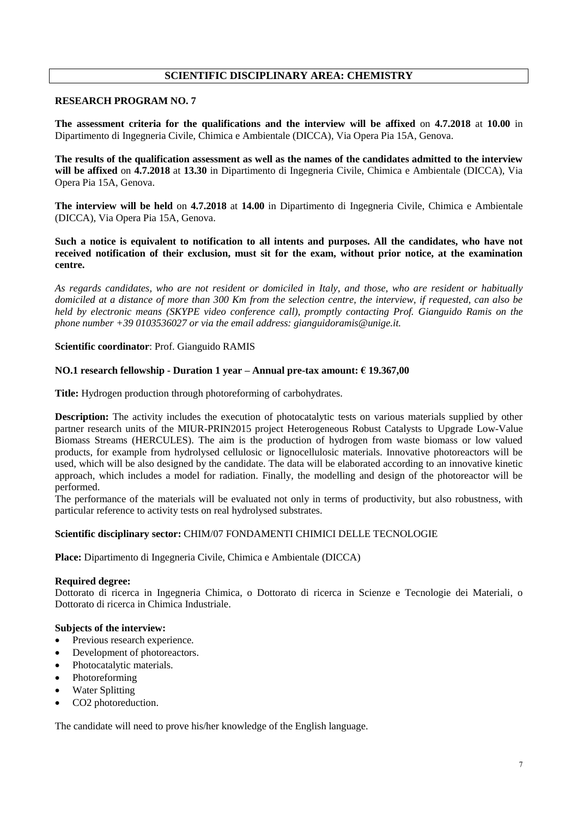# **SCIENTIFIC DISCIPLINARY AREA: CHEMISTRY**

## **RESEARCH PROGRAM NO. 7**

**The assessment criteria for the qualifications and the interview will be affixed** on **4.7.2018** at **10.00** in Dipartimento di Ingegneria Civile, Chimica e Ambientale (DICCA), Via Opera Pia 15A, Genova.

**The results of the qualification assessment as well as the names of the candidates admitted to the interview will be affixed** on **4.7.2018** at **13.30** in Dipartimento di Ingegneria Civile, Chimica e Ambientale (DICCA), Via Opera Pia 15A, Genova.

**The interview will be held** on **4.7.2018** at **14.00** in Dipartimento di Ingegneria Civile, Chimica e Ambientale (DICCA), Via Opera Pia 15A, Genova.

**Such a notice is equivalent to notification to all intents and purposes. All the candidates, who have not received notification of their exclusion, must sit for the exam, without prior notice, at the examination centre.**

*As regards candidates, who are not resident or domiciled in Italy, and those, who are resident or habitually domiciled at a distance of more than 300 Km from the selection centre, the interview, if requested, can also be held by electronic means (SKYPE video conference call), promptly contacting Prof. Gianguido Ramis on the phone number +39 0103536027 or via the email address: gianguidoramis@unige.it.*

#### **Scientific coordinator**: Prof. Gianguido RAMIS

#### **NO.1 research fellowship - Duration 1 year – Annual pre-tax amount: € 19.367,00**

**Title:** Hydrogen production through photoreforming of carbohydrates.

**Description:** The activity includes the execution of photocatalytic tests on various materials supplied by other partner research units of the MIUR-PRIN2015 project Heterogeneous Robust Catalysts to Upgrade Low-Value Biomass Streams (HERCULES). The aim is the production of hydrogen from waste biomass or low valued products, for example from hydrolysed cellulosic or lignocellulosic materials. Innovative photoreactors will be used, which will be also designed by the candidate. The data will be elaborated according to an innovative kinetic approach, which includes a model for radiation. Finally, the modelling and design of the photoreactor will be performed.

The performance of the materials will be evaluated not only in terms of productivity, but also robustness, with particular reference to activity tests on real hydrolysed substrates.

#### **Scientific disciplinary sector:** CHIM/07 FONDAMENTI CHIMICI DELLE TECNOLOGIE

**Place:** Dipartimento di Ingegneria Civile, Chimica e Ambientale (DICCA)

#### **Required degree:**

Dottorato di ricerca in Ingegneria Chimica, o Dottorato di ricerca in Scienze e Tecnologie dei Materiali, o Dottorato di ricerca in Chimica Industriale.

#### **Subjects of the interview:**

- Previous research experience.
- Development of photoreactors.
- Photocatalytic materials.
- Photoreforming
- Water Splitting
- CO2 photoreduction.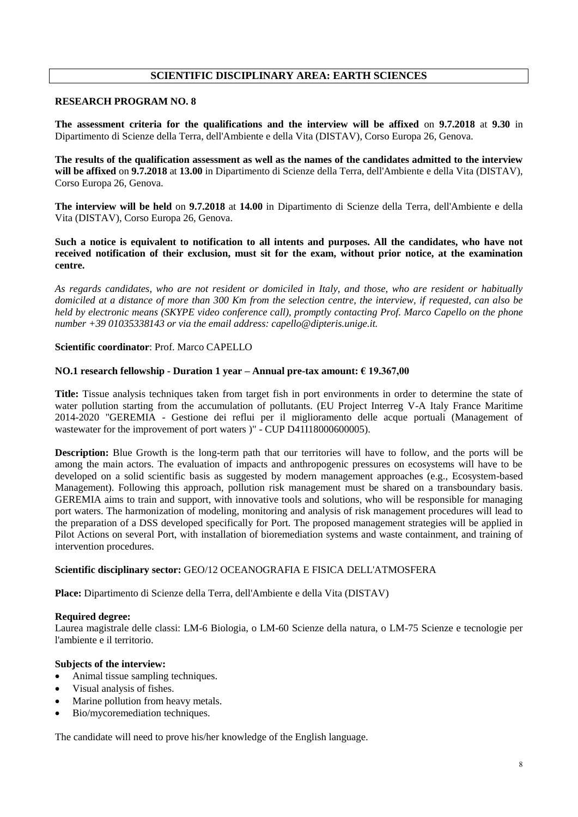# **SCIENTIFIC DISCIPLINARY AREA: EARTH SCIENCES**

## **RESEARCH PROGRAM NO. 8**

**The assessment criteria for the qualifications and the interview will be affixed** on **9.7.2018** at **9.30** in Dipartimento di Scienze della Terra, dell'Ambiente e della Vita (DISTAV), Corso Europa 26, Genova.

**The results of the qualification assessment as well as the names of the candidates admitted to the interview will be affixed** on **9.7.2018** at **13.00** in Dipartimento di Scienze della Terra, dell'Ambiente e della Vita (DISTAV), Corso Europa 26, Genova.

**The interview will be held** on **9.7.2018** at **14.00** in Dipartimento di Scienze della Terra, dell'Ambiente e della Vita (DISTAV), Corso Europa 26, Genova.

**Such a notice is equivalent to notification to all intents and purposes. All the candidates, who have not received notification of their exclusion, must sit for the exam, without prior notice, at the examination centre.**

*As regards candidates, who are not resident or domiciled in Italy, and those, who are resident or habitually domiciled at a distance of more than 300 Km from the selection centre, the interview, if requested, can also be held by electronic means (SKYPE video conference call), promptly contacting Prof. Marco Capello on the phone number +39 01035338143 or via the email address: capello@dipteris.unige.it.*

#### **Scientific coordinator**: Prof. Marco CAPELLO

#### **NO.1 research fellowship - Duration 1 year – Annual pre-tax amount: € 19.367,00**

**Title:** Tissue analysis techniques taken from target fish in port environments in order to determine the state of water pollution starting from the accumulation of pollutants. (EU Project Interreg V-A Italy France Maritime 2014-2020 "GEREMIA - Gestione dei reflui per il miglioramento delle acque portuali (Management of wastewater for the improvement of port waters )" - CUP D41I18000600005).

**Description:** Blue Growth is the long-term path that our territories will have to follow, and the ports will be among the main actors. The evaluation of impacts and anthropogenic pressures on ecosystems will have to be developed on a solid scientific basis as suggested by modern management approaches (e.g., Ecosystem-based Management). Following this approach, pollution risk management must be shared on a transboundary basis. GEREMIA aims to train and support, with innovative tools and solutions, who will be responsible for managing port waters. The harmonization of modeling, monitoring and analysis of risk management procedures will lead to the preparation of a DSS developed specifically for Port. The proposed management strategies will be applied in Pilot Actions on several Port, with installation of bioremediation systems and waste containment, and training of intervention procedures.

#### **Scientific disciplinary sector:** GEO/12 OCEANOGRAFIA E FISICA DELL'ATMOSFERA

**Place:** Dipartimento di Scienze della Terra, dell'Ambiente e della Vita (DISTAV)

#### **Required degree:**

Laurea magistrale delle classi: LM-6 Biologia, o LM-60 Scienze della natura, o LM-75 Scienze e tecnologie per l'ambiente e il territorio.

## **Subjects of the interview:**

- Animal tissue sampling techniques.
- Visual analysis of fishes.
- Marine pollution from heavy metals.
- Bio/mycoremediation techniques.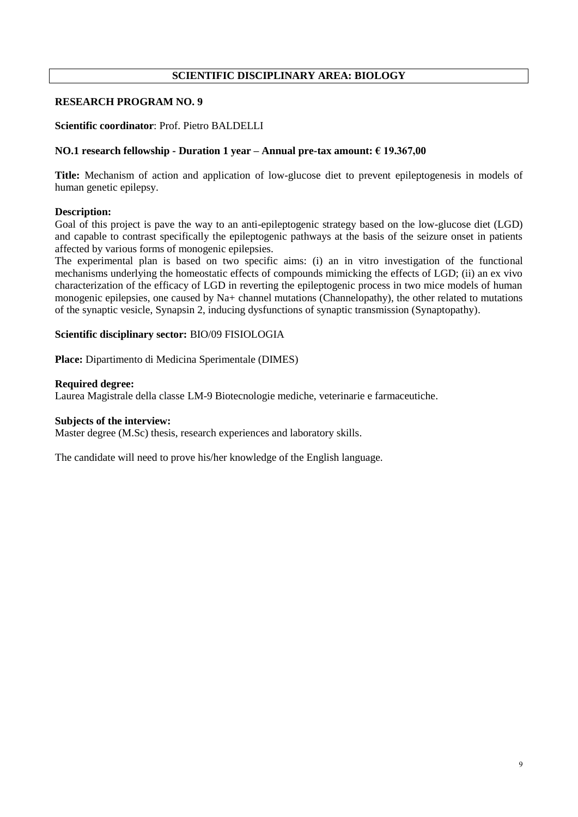# **SCIENTIFIC DISCIPLINARY AREA: BIOLOGY**

# **RESEARCH PROGRAM NO. 9**

#### **Scientific coordinator**: Prof. Pietro BALDELLI

#### **NO.1 research fellowship - Duration 1 year – Annual pre-tax amount: € 19.367,00**

**Title:** Mechanism of action and application of low-glucose diet to prevent epileptogenesis in models of human genetic epilepsy.

#### **Description:**

Goal of this project is pave the way to an anti-epileptogenic strategy based on the low-glucose diet (LGD) and capable to contrast specifically the epileptogenic pathways at the basis of the seizure onset in patients affected by various forms of monogenic epilepsies.

The experimental plan is based on two specific aims: (i) an in vitro investigation of the functional mechanisms underlying the homeostatic effects of compounds mimicking the effects of LGD; (ii) an ex vivo characterization of the efficacy of LGD in reverting the epileptogenic process in two mice models of human monogenic epilepsies, one caused by Na+ channel mutations (Channelopathy), the other related to mutations of the synaptic vesicle, Synapsin 2, inducing dysfunctions of synaptic transmission (Synaptopathy).

#### **Scientific disciplinary sector:** BIO/09 FISIOLOGIA

**Place:** Dipartimento di Medicina Sperimentale (DIMES)

#### **Required degree:**

Laurea Magistrale della classe LM-9 Biotecnologie mediche, veterinarie e farmaceutiche.

#### **Subjects of the interview:**

Master degree (M.Sc) thesis, research experiences and laboratory skills.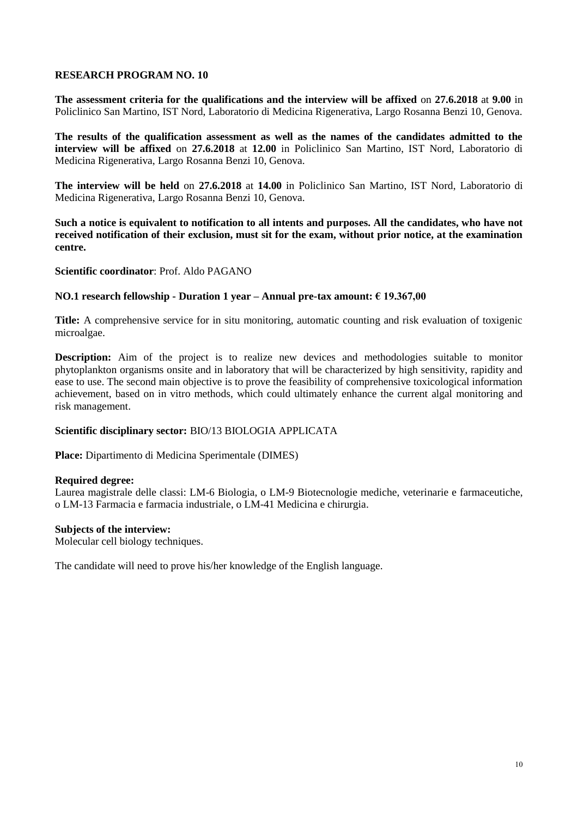**The assessment criteria for the qualifications and the interview will be affixed** on **27.6.2018** at **9.00** in Policlinico San Martino, IST Nord, Laboratorio di Medicina Rigenerativa, Largo Rosanna Benzi 10, Genova.

**The results of the qualification assessment as well as the names of the candidates admitted to the interview will be affixed** on **27.6.2018** at **12.00** in Policlinico San Martino, IST Nord, Laboratorio di Medicina Rigenerativa, Largo Rosanna Benzi 10, Genova.

**The interview will be held** on **27.6.2018** at **14.00** in Policlinico San Martino, IST Nord, Laboratorio di Medicina Rigenerativa, Largo Rosanna Benzi 10, Genova.

**Such a notice is equivalent to notification to all intents and purposes. All the candidates, who have not received notification of their exclusion, must sit for the exam, without prior notice, at the examination centre.**

**Scientific coordinator**: Prof. Aldo PAGANO

## **NO.1 research fellowship - Duration 1 year – Annual pre-tax amount: € 19.367,00**

**Title:** A comprehensive service for in situ monitoring, automatic counting and risk evaluation of toxigenic microalgae.

**Description:** Aim of the project is to realize new devices and methodologies suitable to monitor phytoplankton organisms onsite and in laboratory that will be characterized by high sensitivity, rapidity and ease to use. The second main objective is to prove the feasibility of comprehensive toxicological information achievement, based on in vitro methods, which could ultimately enhance the current algal monitoring and risk management.

## **Scientific disciplinary sector:** BIO/13 BIOLOGIA APPLICATA

**Place:** Dipartimento di Medicina Sperimentale (DIMES)

## **Required degree:**

Laurea magistrale delle classi: LM-6 Biologia, o LM-9 Biotecnologie mediche, veterinarie e farmaceutiche, o LM-13 Farmacia e farmacia industriale, o LM-41 Medicina e chirurgia.

## **Subjects of the interview:**

Molecular cell biology techniques.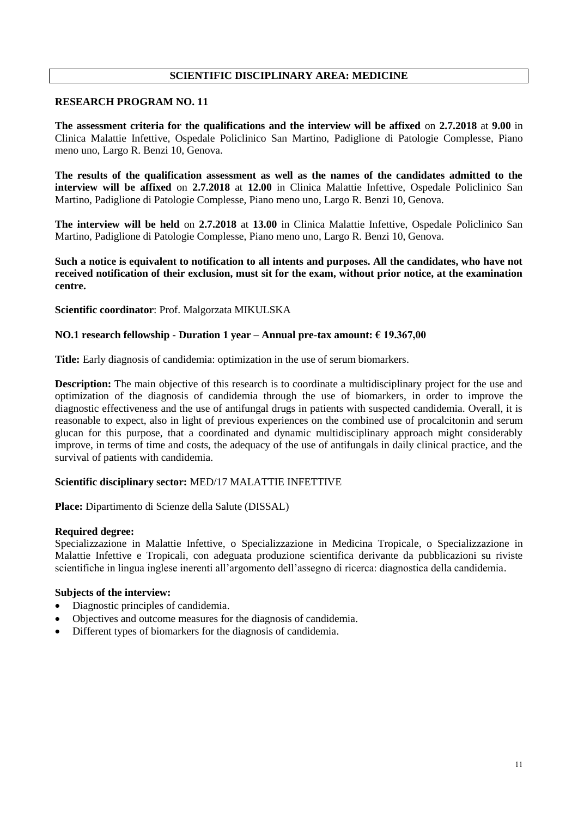# **SCIENTIFIC DISCIPLINARY AREA: MEDICINE**

#### **RESEARCH PROGRAM NO. 11**

**The assessment criteria for the qualifications and the interview will be affixed** on **2.7.2018** at **9.00** in Clinica Malattie Infettive, Ospedale Policlinico San Martino, Padiglione di Patologie Complesse, Piano meno uno, Largo R. Benzi 10, Genova.

**The results of the qualification assessment as well as the names of the candidates admitted to the interview will be affixed** on **2.7.2018** at **12.00** in Clinica Malattie Infettive, Ospedale Policlinico San Martino, Padiglione di Patologie Complesse, Piano meno uno, Largo R. Benzi 10, Genova.

**The interview will be held** on **2.7.2018** at **13.00** in Clinica Malattie Infettive, Ospedale Policlinico San Martino, Padiglione di Patologie Complesse, Piano meno uno, Largo R. Benzi 10, Genova.

**Such a notice is equivalent to notification to all intents and purposes. All the candidates, who have not received notification of their exclusion, must sit for the exam, without prior notice, at the examination centre.**

**Scientific coordinator**: Prof. Malgorzata MIKULSKA

#### **NO.1 research fellowship - Duration 1 year – Annual pre-tax amount: € 19.367,00**

**Title:** Early diagnosis of candidemia: optimization in the use of serum biomarkers.

**Description:** The main objective of this research is to coordinate a multidisciplinary project for the use and optimization of the diagnosis of candidemia through the use of biomarkers, in order to improve the diagnostic effectiveness and the use of antifungal drugs in patients with suspected candidemia. Overall, it is reasonable to expect, also in light of previous experiences on the combined use of procalcitonin and serum glucan for this purpose, that a coordinated and dynamic multidisciplinary approach might considerably improve, in terms of time and costs, the adequacy of the use of antifungals in daily clinical practice, and the survival of patients with candidemia.

## **Scientific disciplinary sector:** MED/17 MALATTIE INFETTIVE

**Place:** Dipartimento di Scienze della Salute (DISSAL)

#### **Required degree:**

Specializzazione in Malattie Infettive, o Specializzazione in Medicina Tropicale, o Specializzazione in Malattie Infettive e Tropicali, con adeguata produzione scientifica derivante da pubblicazioni su riviste scientifiche in lingua inglese inerenti all'argomento dell'assegno di ricerca: diagnostica della candidemia.

- Diagnostic principles of candidemia.
- Objectives and outcome measures for the diagnosis of candidemia.
- Different types of biomarkers for the diagnosis of candidemia.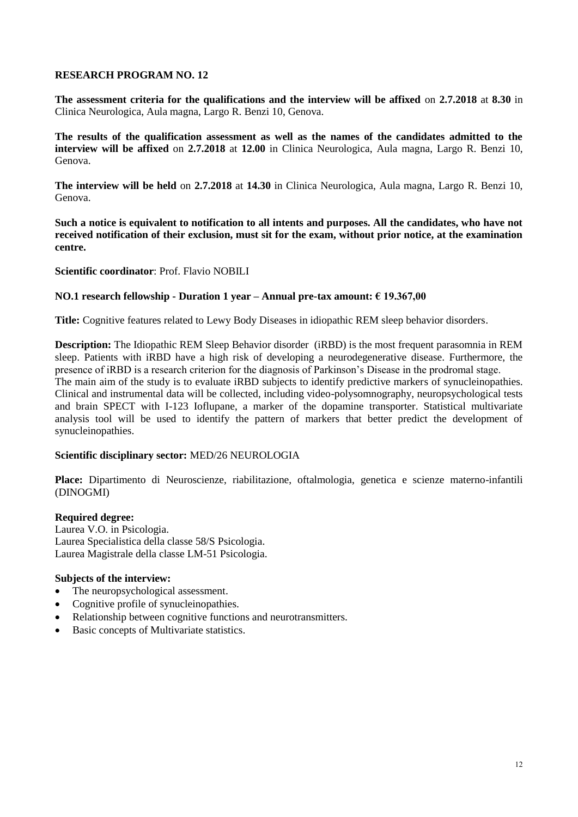**The assessment criteria for the qualifications and the interview will be affixed** on **2.7.2018** at **8.30** in Clinica Neurologica, Aula magna, Largo R. Benzi 10, Genova.

**The results of the qualification assessment as well as the names of the candidates admitted to the interview will be affixed** on **2.7.2018** at **12.00** in Clinica Neurologica, Aula magna, Largo R. Benzi 10, Genova.

**The interview will be held** on **2.7.2018** at **14.30** in Clinica Neurologica, Aula magna, Largo R. Benzi 10, Genova.

**Such a notice is equivalent to notification to all intents and purposes. All the candidates, who have not received notification of their exclusion, must sit for the exam, without prior notice, at the examination centre.**

**Scientific coordinator**: Prof. Flavio NOBILI

## **NO.1 research fellowship - Duration 1 year – Annual pre-tax amount: € 19.367,00**

**Title:** Cognitive features related to Lewy Body Diseases in idiopathic REM sleep behavior disorders.

**Description:** The Idiopathic REM Sleep Behavior disorder (iRBD) is the most frequent parasomnia in REM sleep. Patients with iRBD have a high risk of developing a neurodegenerative disease. Furthermore, the presence of iRBD is a research criterion for the diagnosis of Parkinson's Disease in the prodromal stage. The main aim of the study is to evaluate iRBD subjects to identify predictive markers of synucleinopathies. Clinical and instrumental data will be collected, including video-polysomnography, neuropsychological tests and brain SPECT with I-123 Ioflupane, a marker of the dopamine transporter. Statistical multivariate analysis tool will be used to identify the pattern of markers that better predict the development of synucleinopathies.

## **Scientific disciplinary sector:** MED/26 NEUROLOGIA

**Place:** Dipartimento di Neuroscienze, riabilitazione, oftalmologia, genetica e scienze materno-infantili (DINOGMI)

#### **Required degree:**

Laurea V.O. in Psicologia. Laurea Specialistica della classe 58/S Psicologia. Laurea Magistrale della classe LM-51 Psicologia.

- The neuropsychological assessment.
- Cognitive profile of synucleinopathies.
- Relationship between cognitive functions and neurotransmitters.
- Basic concepts of Multivariate statistics.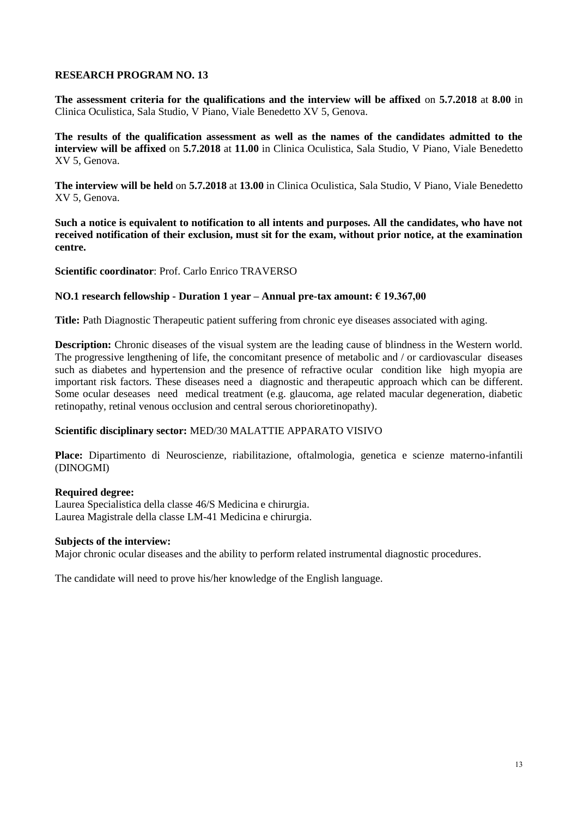**The assessment criteria for the qualifications and the interview will be affixed** on **5.7.2018** at **8.00** in Clinica Oculistica, Sala Studio, V Piano, Viale Benedetto XV 5, Genova.

**The results of the qualification assessment as well as the names of the candidates admitted to the interview will be affixed** on **5.7.2018** at **11.00** in Clinica Oculistica, Sala Studio, V Piano, Viale Benedetto XV 5, Genova.

**The interview will be held** on **5.7.2018** at **13.00** in Clinica Oculistica, Sala Studio, V Piano, Viale Benedetto XV 5, Genova.

**Such a notice is equivalent to notification to all intents and purposes. All the candidates, who have not received notification of their exclusion, must sit for the exam, without prior notice, at the examination centre.**

**Scientific coordinator**: Prof. Carlo Enrico TRAVERSO

## **NO.1 research fellowship - Duration 1 year – Annual pre-tax amount: € 19.367,00**

**Title:** Path Diagnostic Therapeutic patient suffering from chronic eye diseases associated with aging.

**Description:** Chronic diseases of the visual system are the leading cause of blindness in the Western world. The progressive lengthening of life, the concomitant presence of metabolic and / or cardiovascular diseases such as diabetes and hypertension and the presence of refractive ocular condition like high myopia are important risk factors. These diseases need a diagnostic and therapeutic approach which can be different. Some ocular deseases need medical treatment (e.g. glaucoma, age related macular degeneration, diabetic retinopathy, retinal venous occlusion and central serous chorioretinopathy).

## **Scientific disciplinary sector:** MED/30 MALATTIE APPARATO VISIVO

**Place:** Dipartimento di Neuroscienze, riabilitazione, oftalmologia, genetica e scienze materno-infantili (DINOGMI)

## **Required degree:**

Laurea Specialistica della classe 46/S Medicina e chirurgia. Laurea Magistrale della classe LM-41 Medicina e chirurgia.

#### **Subjects of the interview:**

Major chronic ocular diseases and the ability to perform related instrumental diagnostic procedures.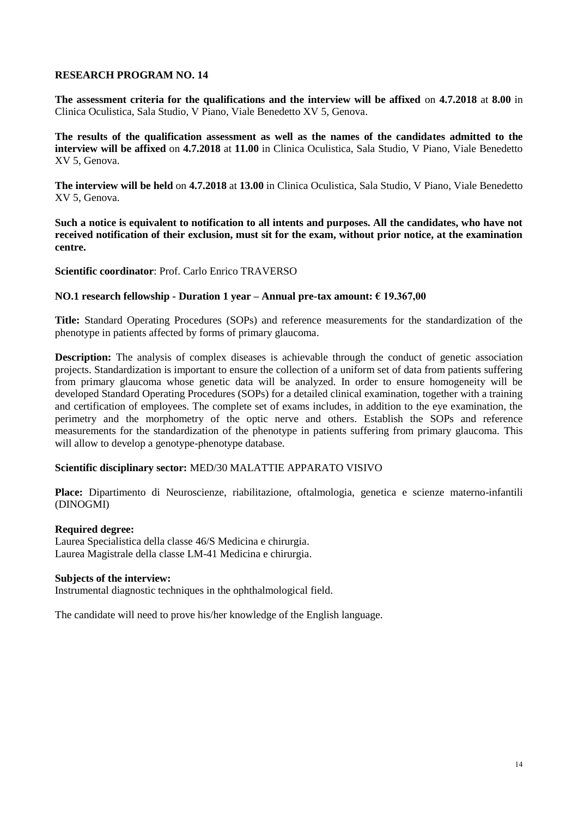**The assessment criteria for the qualifications and the interview will be affixed** on **4.7.2018** at **8.00** in Clinica Oculistica, Sala Studio, V Piano, Viale Benedetto XV 5, Genova.

**The results of the qualification assessment as well as the names of the candidates admitted to the interview will be affixed** on **4.7.2018** at **11.00** in Clinica Oculistica, Sala Studio, V Piano, Viale Benedetto XV 5, Genova.

**The interview will be held** on **4.7.2018** at **13.00** in Clinica Oculistica, Sala Studio, V Piano, Viale Benedetto XV 5, Genova.

**Such a notice is equivalent to notification to all intents and purposes. All the candidates, who have not received notification of their exclusion, must sit for the exam, without prior notice, at the examination centre.**

**Scientific coordinator**: Prof. Carlo Enrico TRAVERSO

#### **NO.1 research fellowship - Duration 1 year – Annual pre-tax amount: € 19.367,00**

**Title:** Standard Operating Procedures (SOPs) and reference measurements for the standardization of the phenotype in patients affected by forms of primary glaucoma.

**Description:** The analysis of complex diseases is achievable through the conduct of genetic association projects. Standardization is important to ensure the collection of a uniform set of data from patients suffering from primary glaucoma whose genetic data will be analyzed. In order to ensure homogeneity will be developed Standard Operating Procedures (SOPs) for a detailed clinical examination, together with a training and certification of employees. The complete set of exams includes, in addition to the eye examination, the perimetry and the morphometry of the optic nerve and others. Establish the SOPs and reference measurements for the standardization of the phenotype in patients suffering from primary glaucoma. This will allow to develop a genotype-phenotype database.

#### **Scientific disciplinary sector:** MED/30 MALATTIE APPARATO VISIVO

**Place:** Dipartimento di Neuroscienze, riabilitazione, oftalmologia, genetica e scienze materno-infantili (DINOGMI)

#### **Required degree:**

Laurea Specialistica della classe 46/S Medicina e chirurgia. Laurea Magistrale della classe LM-41 Medicina e chirurgia.

#### **Subjects of the interview:**

Instrumental diagnostic techniques in the ophthalmological field.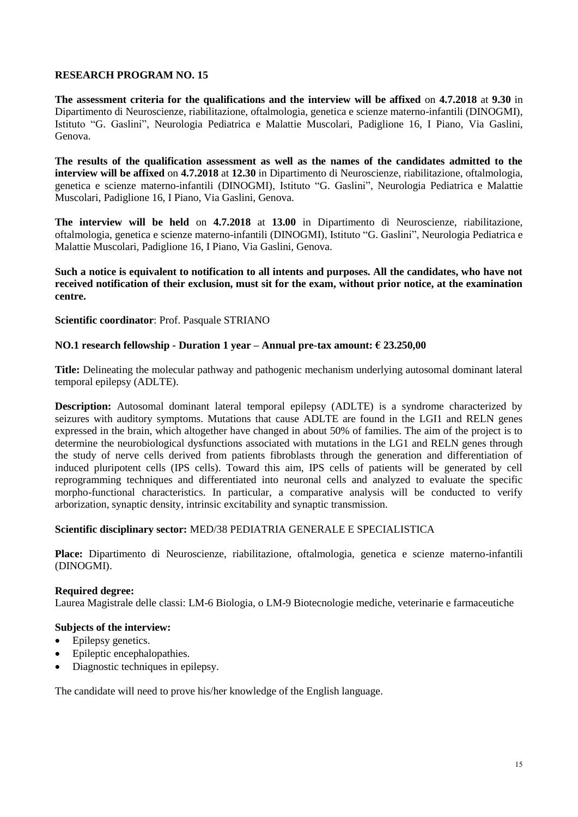**The assessment criteria for the qualifications and the interview will be affixed** on **4.7.2018** at **9.30** in Dipartimento di Neuroscienze, riabilitazione, oftalmologia, genetica e scienze materno-infantili (DINOGMI), Istituto "G. Gaslini", Neurologia Pediatrica e Malattie Muscolari, Padiglione 16, I Piano, Via Gaslini, Genova.

**The results of the qualification assessment as well as the names of the candidates admitted to the interview will be affixed** on **4.7.2018** at **12.30** in Dipartimento di Neuroscienze, riabilitazione, oftalmologia, genetica e scienze materno-infantili (DINOGMI), Istituto "G. Gaslini", Neurologia Pediatrica e Malattie Muscolari, Padiglione 16, I Piano, Via Gaslini, Genova.

**The interview will be held** on **4.7.2018** at **13.00** in Dipartimento di Neuroscienze, riabilitazione, oftalmologia, genetica e scienze materno-infantili (DINOGMI), Istituto "G. Gaslini", Neurologia Pediatrica e Malattie Muscolari, Padiglione 16, I Piano, Via Gaslini, Genova.

# **Such a notice is equivalent to notification to all intents and purposes. All the candidates, who have not received notification of their exclusion, must sit for the exam, without prior notice, at the examination centre.**

**Scientific coordinator**: Prof. Pasquale STRIANO

# **NO.1 research fellowship - Duration 1 year – Annual pre-tax amount: € 23.250,00**

**Title:** Delineating the molecular pathway and pathogenic mechanism underlying autosomal dominant lateral temporal epilepsy (ADLTE).

**Description:** Autosomal dominant lateral temporal epilepsy (ADLTE) is a syndrome characterized by seizures with auditory symptoms. Mutations that cause ADLTE are found in the LGI1 and RELN genes expressed in the brain, which altogether have changed in about 50% of families. The aim of the project is to determine the neurobiological dysfunctions associated with mutations in the LG1 and RELN genes through the study of nerve cells derived from patients fibroblasts through the generation and differentiation of induced pluripotent cells (IPS cells). Toward this aim, IPS cells of patients will be generated by cell reprogramming techniques and differentiated into neuronal cells and analyzed to evaluate the specific morpho-functional characteristics. In particular, a comparative analysis will be conducted to verify arborization, synaptic density, intrinsic excitability and synaptic transmission.

## **Scientific disciplinary sector:** MED/38 PEDIATRIA GENERALE E SPECIALISTICA

**Place:** Dipartimento di Neuroscienze, riabilitazione, oftalmologia, genetica e scienze materno-infantili (DINOGMI).

## **Required degree:**

Laurea Magistrale delle classi: LM-6 Biologia, o LM-9 Biotecnologie mediche, veterinarie e farmaceutiche

## **Subjects of the interview:**

- Epilepsy genetics.
- Epileptic encephalopathies.
- Diagnostic techniques in epilepsy.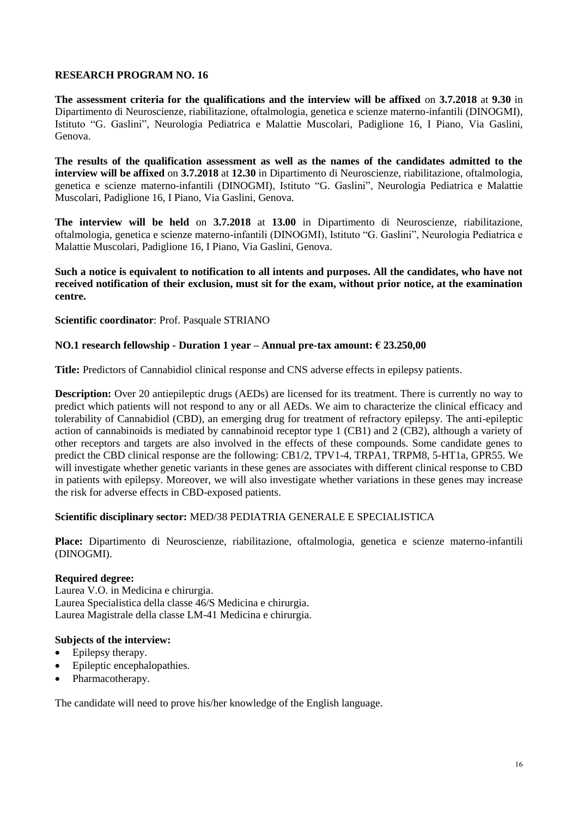**The assessment criteria for the qualifications and the interview will be affixed** on **3.7.2018** at **9.30** in Dipartimento di Neuroscienze, riabilitazione, oftalmologia, genetica e scienze materno-infantili (DINOGMI), Istituto "G. Gaslini", Neurologia Pediatrica e Malattie Muscolari, Padiglione 16, I Piano, Via Gaslini, Genova.

**The results of the qualification assessment as well as the names of the candidates admitted to the interview will be affixed** on **3.7.2018** at **12.30** in Dipartimento di Neuroscienze, riabilitazione, oftalmologia, genetica e scienze materno-infantili (DINOGMI), Istituto "G. Gaslini", Neurologia Pediatrica e Malattie Muscolari, Padiglione 16, I Piano, Via Gaslini, Genova.

**The interview will be held** on **3.7.2018** at **13.00** in Dipartimento di Neuroscienze, riabilitazione, oftalmologia, genetica e scienze materno-infantili (DINOGMI), Istituto "G. Gaslini", Neurologia Pediatrica e Malattie Muscolari, Padiglione 16, I Piano, Via Gaslini, Genova.

## **Such a notice is equivalent to notification to all intents and purposes. All the candidates, who have not received notification of their exclusion, must sit for the exam, without prior notice, at the examination centre.**

**Scientific coordinator**: Prof. Pasquale STRIANO

# **NO.1 research fellowship - Duration 1 year – Annual pre-tax amount: € 23.250,00**

**Title:** Predictors of Cannabidiol clinical response and CNS adverse effects in epilepsy patients.

**Description:** Over 20 antiepileptic drugs (AEDs) are licensed for its treatment. There is currently no way to predict which patients will not respond to any or all AEDs. We aim to characterize the clinical efficacy and tolerability of Cannabidiol (CBD), an emerging drug for treatment of refractory epilepsy. The anti-epileptic action of cannabinoids is mediated by cannabinoid receptor type 1 (CB1) and 2 (CB2), although a variety of other receptors and targets are also involved in the effects of these compounds. Some candidate genes to predict the CBD clinical response are the following: CB1/2, TPV1-4, TRPA1, TRPM8, 5-HT1a, GPR55. We will investigate whether genetic variants in these genes are associates with different clinical response to CBD in patients with epilepsy. Moreover, we will also investigate whether variations in these genes may increase the risk for adverse effects in CBD-exposed patients.

## **Scientific disciplinary sector:** MED/38 PEDIATRIA GENERALE E SPECIALISTICA

**Place:** Dipartimento di Neuroscienze, riabilitazione, oftalmologia, genetica e scienze materno-infantili (DINOGMI).

# **Required degree:**

Laurea V.O. in Medicina e chirurgia. Laurea Specialistica della classe 46/S Medicina e chirurgia. Laurea Magistrale della classe LM-41 Medicina e chirurgia.

## **Subjects of the interview:**

- Epilepsy therapy.
- Epileptic encephalopathies.
- Pharmacotherapy.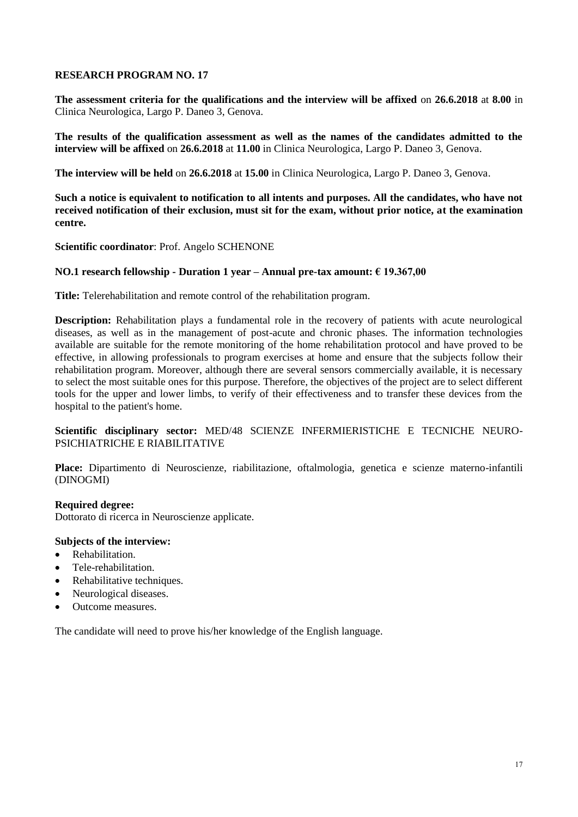**The assessment criteria for the qualifications and the interview will be affixed** on **26.6.2018** at **8.00** in Clinica Neurologica, Largo P. Daneo 3, Genova.

**The results of the qualification assessment as well as the names of the candidates admitted to the interview will be affixed** on **26.6.2018** at **11.00** in Clinica Neurologica, Largo P. Daneo 3, Genova.

**The interview will be held** on **26.6.2018** at **15.00** in Clinica Neurologica, Largo P. Daneo 3, Genova.

**Such a notice is equivalent to notification to all intents and purposes. All the candidates, who have not received notification of their exclusion, must sit for the exam, without prior notice, at the examination centre.**

**Scientific coordinator**: Prof. Angelo SCHENONE

## **NO.1 research fellowship - Duration 1 year – Annual pre-tax amount: € 19.367,00**

**Title:** Telerehabilitation and remote control of the rehabilitation program.

**Description:** Rehabilitation plays a fundamental role in the recovery of patients with acute neurological diseases, as well as in the management of post-acute and chronic phases. The information technologies available are suitable for the remote monitoring of the home rehabilitation protocol and have proved to be effective, in allowing professionals to program exercises at home and ensure that the subjects follow their rehabilitation program. Moreover, although there are several sensors commercially available, it is necessary to select the most suitable ones for this purpose. Therefore, the objectives of the project are to select different tools for the upper and lower limbs, to verify of their effectiveness and to transfer these devices from the hospital to the patient's home.

## **Scientific disciplinary sector:** MED/48 SCIENZE INFERMIERISTICHE E TECNICHE NEURO-PSICHIATRICHE E RIABILITATIVE

**Place:** Dipartimento di Neuroscienze, riabilitazione, oftalmologia, genetica e scienze materno-infantili (DINOGMI)

## **Required degree:**

Dottorato di ricerca in Neuroscienze applicate.

# **Subjects of the interview:**

- Rehabilitation.
- Tele-rehabilitation.
- Rehabilitative techniques.
- Neurological diseases.
- Outcome measures.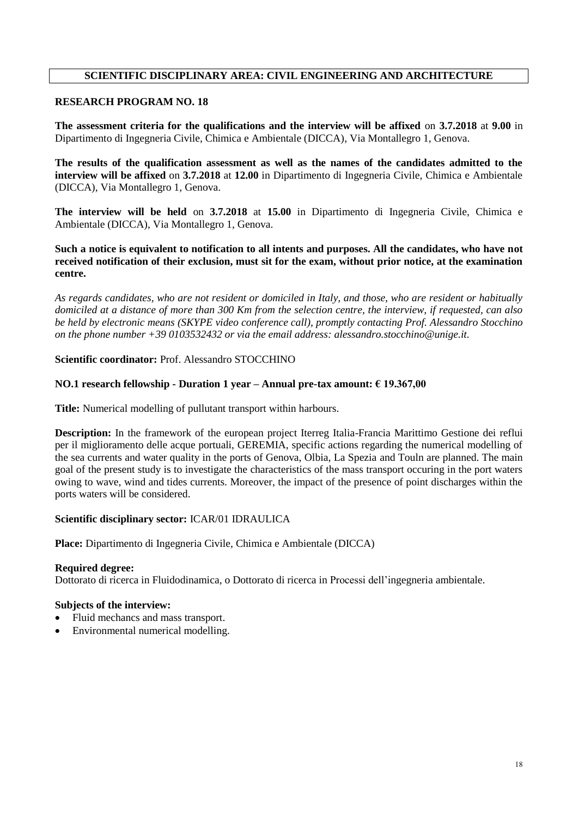# **SCIENTIFIC DISCIPLINARY AREA: CIVIL ENGINEERING AND ARCHITECTURE**

# **RESEARCH PROGRAM NO. 18**

**The assessment criteria for the qualifications and the interview will be affixed** on **3.7.2018** at **9.00** in Dipartimento di Ingegneria Civile, Chimica e Ambientale (DICCA), Via Montallegro 1, Genova.

**The results of the qualification assessment as well as the names of the candidates admitted to the interview will be affixed** on **3.7.2018** at **12.00** in Dipartimento di Ingegneria Civile, Chimica e Ambientale (DICCA), Via Montallegro 1, Genova.

**The interview will be held** on **3.7.2018** at **15.00** in Dipartimento di Ingegneria Civile, Chimica e Ambientale (DICCA), Via Montallegro 1, Genova.

**Such a notice is equivalent to notification to all intents and purposes. All the candidates, who have not received notification of their exclusion, must sit for the exam, without prior notice, at the examination centre.**

*As regards candidates, who are not resident or domiciled in Italy, and those, who are resident or habitually domiciled at a distance of more than 300 Km from the selection centre, the interview, if requested, can also be held by electronic means (SKYPE video conference call), promptly contacting Prof. Alessandro Stocchino on the phone number +39 0103532432 or via the email address: alessandro.stocchino@unige.it.*

**Scientific coordinator:** Prof. Alessandro STOCCHINO

#### **NO.1 research fellowship - Duration 1 year – Annual pre-tax amount: € 19.367,00**

**Title:** Numerical modelling of pullutant transport within harbours.

**Description:** In the framework of the european project Iterreg Italia-Francia Marittimo Gestione dei reflui per il miglioramento delle acque portuali, GEREMIA, specific actions regarding the numerical modelling of the sea currents and water quality in the ports of Genova, Olbia, La Spezia and Touln are planned. The main goal of the present study is to investigate the characteristics of the mass transport occuring in the port waters owing to wave, wind and tides currents. Moreover, the impact of the presence of point discharges within the ports waters will be considered.

## **Scientific disciplinary sector:** ICAR/01 IDRAULICA

**Place:** Dipartimento di Ingegneria Civile, Chimica e Ambientale (DICCA)

#### **Required degree:**

Dottorato di ricerca in Fluidodinamica, o Dottorato di ricerca in Processi dell'ingegneria ambientale.

- Fluid mechancs and mass transport.
- Environmental numerical modelling.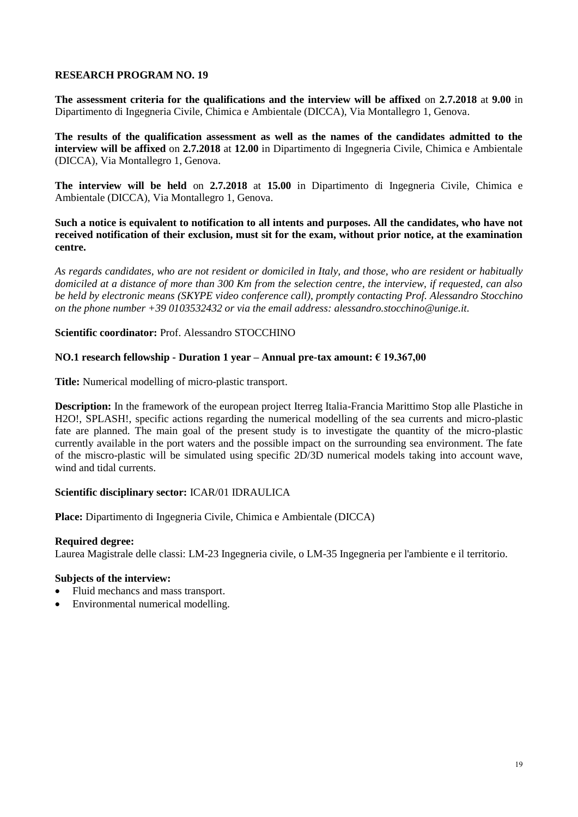**The assessment criteria for the qualifications and the interview will be affixed** on **2.7.2018** at **9.00** in Dipartimento di Ingegneria Civile, Chimica e Ambientale (DICCA), Via Montallegro 1, Genova.

**The results of the qualification assessment as well as the names of the candidates admitted to the interview will be affixed** on **2.7.2018** at **12.00** in Dipartimento di Ingegneria Civile, Chimica e Ambientale (DICCA), Via Montallegro 1, Genova.

**The interview will be held** on **2.7.2018** at **15.00** in Dipartimento di Ingegneria Civile, Chimica e Ambientale (DICCA), Via Montallegro 1, Genova.

**Such a notice is equivalent to notification to all intents and purposes. All the candidates, who have not received notification of their exclusion, must sit for the exam, without prior notice, at the examination centre.**

*As regards candidates, who are not resident or domiciled in Italy, and those, who are resident or habitually domiciled at a distance of more than 300 Km from the selection centre, the interview, if requested, can also be held by electronic means (SKYPE video conference call), promptly contacting Prof. Alessandro Stocchino on the phone number +39 0103532432 or via the email address: alessandro.stocchino@unige.it.*

## **Scientific coordinator:** Prof. Alessandro STOCCHINO

## **NO.1 research fellowship - Duration 1 year – Annual pre-tax amount: € 19.367,00**

**Title:** Numerical modelling of micro-plastic transport.

**Description:** In the framework of the european project Iterreg Italia-Francia Marittimo Stop alle Plastiche in H2O!, SPLASH!, specific actions regarding the numerical modelling of the sea currents and micro-plastic fate are planned. The main goal of the present study is to investigate the quantity of the micro-plastic currently available in the port waters and the possible impact on the surrounding sea environment. The fate of the miscro-plastic will be simulated using specific 2D/3D numerical models taking into account wave, wind and tidal currents.

## **Scientific disciplinary sector:** ICAR/01 IDRAULICA

**Place:** Dipartimento di Ingegneria Civile, Chimica e Ambientale (DICCA)

## **Required degree:**

Laurea Magistrale delle classi: LM-23 Ingegneria civile, o LM-35 Ingegneria per l'ambiente e il territorio.

- Fluid mechancs and mass transport.
- Environmental numerical modelling.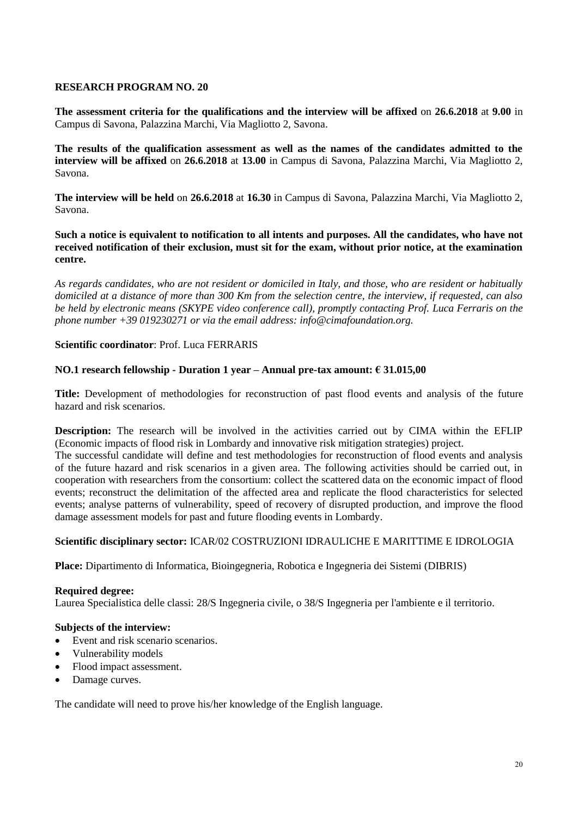**The assessment criteria for the qualifications and the interview will be affixed** on **26.6.2018** at **9.00** in Campus di Savona, Palazzina Marchi, Via Magliotto 2, Savona.

**The results of the qualification assessment as well as the names of the candidates admitted to the interview will be affixed** on **26.6.2018** at **13.00** in Campus di Savona, Palazzina Marchi, Via Magliotto 2, Savona.

**The interview will be held** on **26.6.2018** at **16.30** in Campus di Savona, Palazzina Marchi, Via Magliotto 2, Savona.

**Such a notice is equivalent to notification to all intents and purposes. All the candidates, who have not received notification of their exclusion, must sit for the exam, without prior notice, at the examination centre.**

*As regards candidates, who are not resident or domiciled in Italy, and those, who are resident or habitually domiciled at a distance of more than 300 Km from the selection centre, the interview, if requested, can also be held by electronic means (SKYPE video conference call), promptly contacting Prof. Luca Ferraris on the phone number +39 019230271 or via the email address: info@cimafoundation.org.*

## **Scientific coordinator**: Prof. Luca FERRARIS

## **NO.1 research fellowship - Duration 1 year – Annual pre-tax amount: € 31.015,00**

**Title:** Development of methodologies for reconstruction of past flood events and analysis of the future hazard and risk scenarios.

**Description:** The research will be involved in the activities carried out by CIMA within the EFLIP (Economic impacts of flood risk in Lombardy and innovative risk mitigation strategies) project.

The successful candidate will define and test methodologies for reconstruction of flood events and analysis of the future hazard and risk scenarios in a given area. The following activities should be carried out, in cooperation with researchers from the consortium: collect the scattered data on the economic impact of flood events; reconstruct the delimitation of the affected area and replicate the flood characteristics for selected events; analyse patterns of vulnerability, speed of recovery of disrupted production, and improve the flood damage assessment models for past and future flooding events in Lombardy.

## **Scientific disciplinary sector:** ICAR/02 COSTRUZIONI IDRAULICHE E MARITTIME E IDROLOGIA

**Place:** Dipartimento di Informatica, Bioingegneria, Robotica e Ingegneria dei Sistemi (DIBRIS)

## **Required degree:**

Laurea Specialistica delle classi: 28/S Ingegneria civile, o 38/S Ingegneria per l'ambiente e il territorio.

## **Subjects of the interview:**

- Event and risk scenario scenarios.
- Vulnerability models
- Flood impact assessment.
- Damage curves.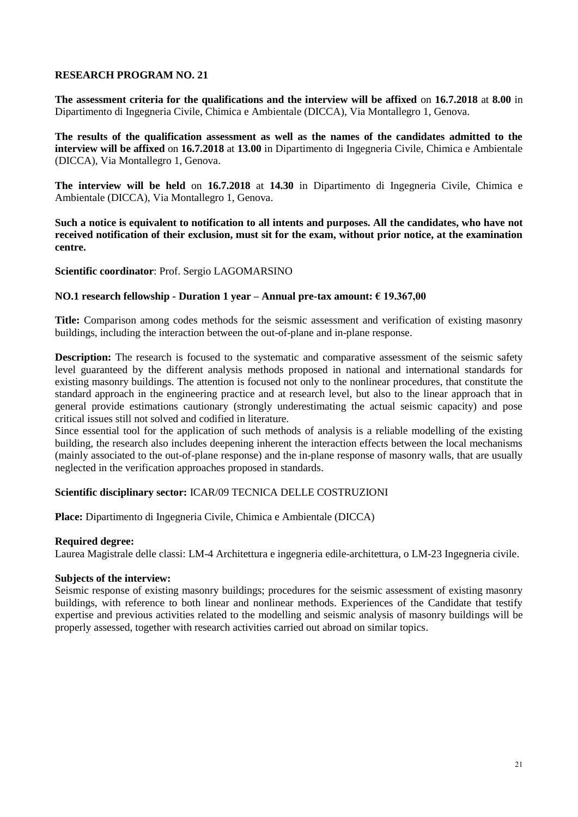**The assessment criteria for the qualifications and the interview will be affixed** on **16.7.2018** at **8.00** in Dipartimento di Ingegneria Civile, Chimica e Ambientale (DICCA), Via Montallegro 1, Genova.

**The results of the qualification assessment as well as the names of the candidates admitted to the interview will be affixed** on **16.7.2018** at **13.00** in Dipartimento di Ingegneria Civile, Chimica e Ambientale (DICCA), Via Montallegro 1, Genova.

**The interview will be held** on **16.7.2018** at **14.30** in Dipartimento di Ingegneria Civile, Chimica e Ambientale (DICCA), Via Montallegro 1, Genova.

**Such a notice is equivalent to notification to all intents and purposes. All the candidates, who have not received notification of their exclusion, must sit for the exam, without prior notice, at the examination centre.**

**Scientific coordinator**: Prof. Sergio LAGOMARSINO

## **NO.1 research fellowship - Duration 1 year – Annual pre-tax amount: € 19.367,00**

**Title:** Comparison among codes methods for the seismic assessment and verification of existing masonry buildings, including the interaction between the out-of-plane and in-plane response.

**Description:** The research is focused to the systematic and comparative assessment of the seismic safety level guaranteed by the different analysis methods proposed in national and international standards for existing masonry buildings. The attention is focused not only to the nonlinear procedures, that constitute the standard approach in the engineering practice and at research level, but also to the linear approach that in general provide estimations cautionary (strongly underestimating the actual seismic capacity) and pose critical issues still not solved and codified in literature.

Since essential tool for the application of such methods of analysis is a reliable modelling of the existing building, the research also includes deepening inherent the interaction effects between the local mechanisms (mainly associated to the out-of-plane response) and the in-plane response of masonry walls, that are usually neglected in the verification approaches proposed in standards.

## **Scientific disciplinary sector:** ICAR/09 TECNICA DELLE COSTRUZIONI

**Place:** Dipartimento di Ingegneria Civile, Chimica e Ambientale (DICCA)

#### **Required degree:**

Laurea Magistrale delle classi: LM-4 Architettura e ingegneria edile-architettura, o LM-23 Ingegneria civile.

#### **Subjects of the interview:**

Seismic response of existing masonry buildings; procedures for the seismic assessment of existing masonry buildings, with reference to both linear and nonlinear methods. Experiences of the Candidate that testify expertise and previous activities related to the modelling and seismic analysis of masonry buildings will be properly assessed, together with research activities carried out abroad on similar topics.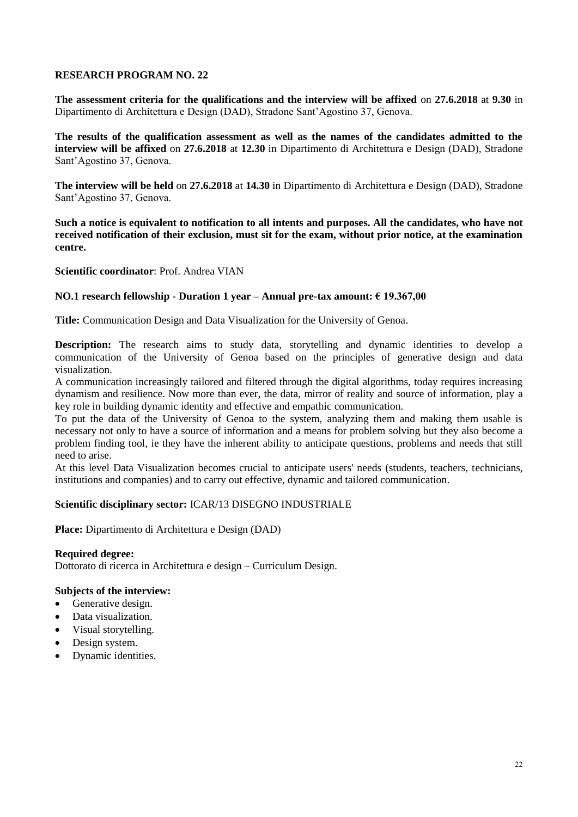**The assessment criteria for the qualifications and the interview will be affixed** on **27.6.2018** at **9.30** in Dipartimento di Architettura e Design (DAD), Stradone Sant'Agostino 37, Genova.

**The results of the qualification assessment as well as the names of the candidates admitted to the interview will be affixed** on **27.6.2018** at **12.30** in Dipartimento di Architettura e Design (DAD), Stradone Sant'Agostino 37, Genova.

**The interview will be held** on **27.6.2018** at **14.30** in Dipartimento di Architettura e Design (DAD), Stradone Sant'Agostino 37, Genova.

**Such a notice is equivalent to notification to all intents and purposes. All the candidates, who have not received notification of their exclusion, must sit for the exam, without prior notice, at the examination centre.**

**Scientific coordinator**: Prof. Andrea VIAN

## **NO.1 research fellowship - Duration 1 year – Annual pre-tax amount: € 19.367,00**

**Title:** Communication Design and Data Visualization for the University of Genoa.

**Description:** The research aims to study data, storytelling and dynamic identities to develop a communication of the University of Genoa based on the principles of generative design and data visualization.

A communication increasingly tailored and filtered through the digital algorithms, today requires increasing dynamism and resilience. Now more than ever, the data, mirror of reality and source of information, play a key role in building dynamic identity and effective and empathic communication.

To put the data of the University of Genoa to the system, analyzing them and making them usable is necessary not only to have a source of information and a means for problem solving but they also become a problem finding tool, ie they have the inherent ability to anticipate questions, problems and needs that still need to arise.

At this level Data Visualization becomes crucial to anticipate users' needs (students, teachers, technicians, institutions and companies) and to carry out effective, dynamic and tailored communication.

## **Scientific disciplinary sector:** ICAR/13 DISEGNO INDUSTRIALE

**Place:** Dipartimento di Architettura e Design (DAD)

**Required degree:** Dottorato di ricerca in Architettura e design – Curriculum Design.

- Generative design.
- Data visualization.
- Visual storytelling.
- Design system.
- Dynamic identities.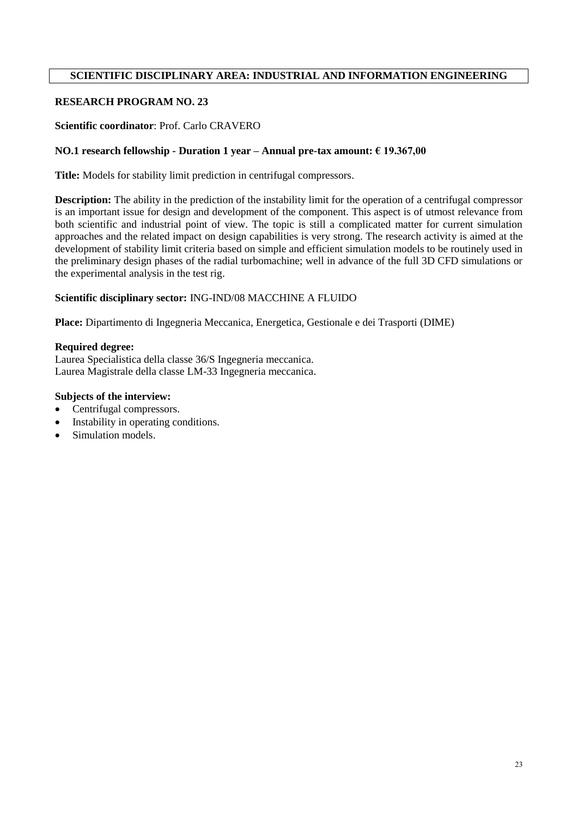# **SCIENTIFIC DISCIPLINARY AREA: INDUSTRIAL AND INFORMATION ENGINEERING**

# **RESEARCH PROGRAM NO. 23**

#### **Scientific coordinator**: Prof. Carlo CRAVERO

#### **NO.1 research fellowship - Duration 1 year – Annual pre-tax amount: € 19.367,00**

**Title:** Models for stability limit prediction in centrifugal compressors.

**Description:** The ability in the prediction of the instability limit for the operation of a centrifugal compressor is an important issue for design and development of the component. This aspect is of utmost relevance from both scientific and industrial point of view. The topic is still a complicated matter for current simulation approaches and the related impact on design capabilities is very strong. The research activity is aimed at the development of stability limit criteria based on simple and efficient simulation models to be routinely used in the preliminary design phases of the radial turbomachine; well in advance of the full 3D CFD simulations or the experimental analysis in the test rig.

#### **Scientific disciplinary sector:** ING-IND/08 MACCHINE A FLUIDO

**Place:** Dipartimento di Ingegneria Meccanica, Energetica, Gestionale e dei Trasporti (DIME)

#### **Required degree:**

Laurea Specialistica della classe 36/S Ingegneria meccanica. Laurea Magistrale della classe LM-33 Ingegneria meccanica.

- Centrifugal compressors.
- Instability in operating conditions.
- Simulation models.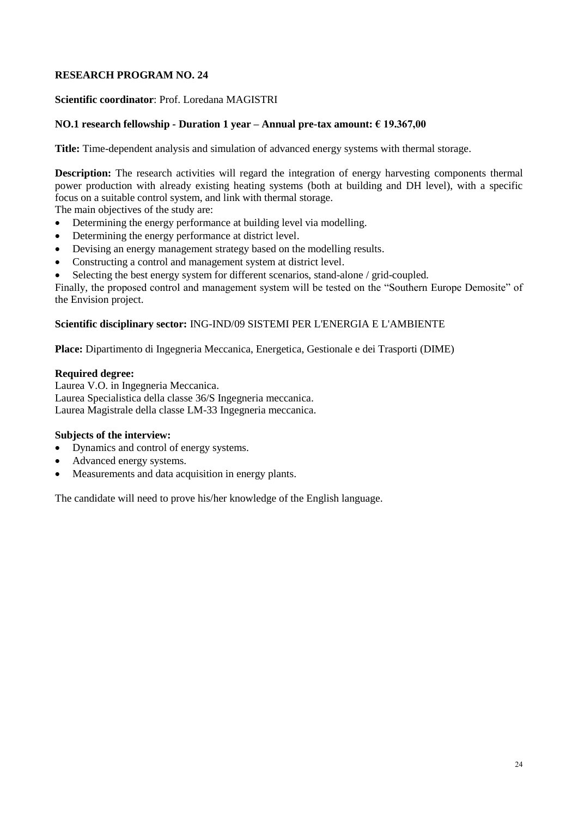**Scientific coordinator**: Prof. Loredana MAGISTRI

# **NO.1 research fellowship - Duration 1 year – Annual pre-tax amount: € 19.367,00**

**Title:** Time-dependent analysis and simulation of advanced energy systems with thermal storage.

**Description:** The research activities will regard the integration of energy harvesting components thermal power production with already existing heating systems (both at building and DH level), with a specific focus on a suitable control system, and link with thermal storage.

The main objectives of the study are:

- Determining the energy performance at building level via modelling.
- Determining the energy performance at district level.
- Devising an energy management strategy based on the modelling results.
- Constructing a control and management system at district level.
- Selecting the best energy system for different scenarios, stand-alone / grid-coupled.

Finally, the proposed control and management system will be tested on the "Southern Europe Demosite" of the Envision project.

# **Scientific disciplinary sector:** ING-IND/09 SISTEMI PER L'ENERGIA E L'AMBIENTE

**Place:** Dipartimento di Ingegneria Meccanica, Energetica, Gestionale e dei Trasporti (DIME)

## **Required degree:**

Laurea V.O. in Ingegneria Meccanica. Laurea Specialistica della classe 36/S Ingegneria meccanica. Laurea Magistrale della classe LM-33 Ingegneria meccanica.

# **Subjects of the interview:**

- Dynamics and control of energy systems.
- Advanced energy systems.
- Measurements and data acquisition in energy plants.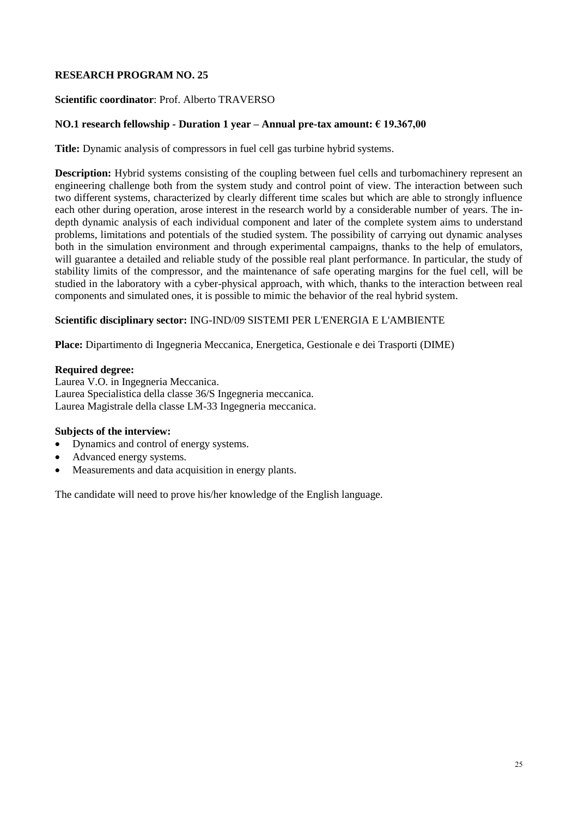## **Scientific coordinator**: Prof. Alberto TRAVERSO

#### **NO.1 research fellowship - Duration 1 year – Annual pre-tax amount: € 19.367,00**

**Title:** Dynamic analysis of compressors in fuel cell gas turbine hybrid systems.

**Description:** Hybrid systems consisting of the coupling between fuel cells and turbomachinery represent an engineering challenge both from the system study and control point of view. The interaction between such two different systems, characterized by clearly different time scales but which are able to strongly influence each other during operation, arose interest in the research world by a considerable number of years. The indepth dynamic analysis of each individual component and later of the complete system aims to understand problems, limitations and potentials of the studied system. The possibility of carrying out dynamic analyses both in the simulation environment and through experimental campaigns, thanks to the help of emulators, will guarantee a detailed and reliable study of the possible real plant performance. In particular, the study of stability limits of the compressor, and the maintenance of safe operating margins for the fuel cell, will be studied in the laboratory with a cyber-physical approach, with which, thanks to the interaction between real components and simulated ones, it is possible to mimic the behavior of the real hybrid system.

## **Scientific disciplinary sector:** ING-IND/09 SISTEMI PER L'ENERGIA E L'AMBIENTE

**Place:** Dipartimento di Ingegneria Meccanica, Energetica, Gestionale e dei Trasporti (DIME)

#### **Required degree:**

Laurea V.O. in Ingegneria Meccanica. Laurea Specialistica della classe 36/S Ingegneria meccanica. Laurea Magistrale della classe LM-33 Ingegneria meccanica.

#### **Subjects of the interview:**

- Dynamics and control of energy systems.
- Advanced energy systems.
- Measurements and data acquisition in energy plants.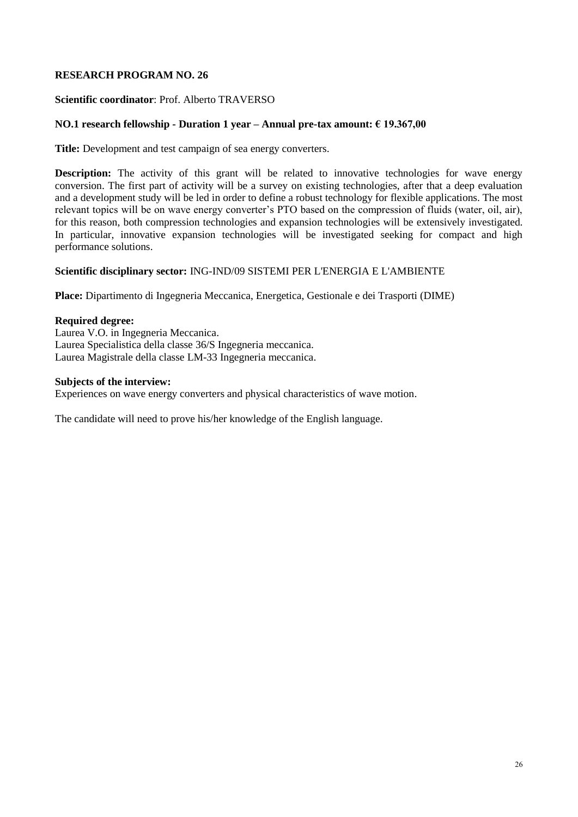## **Scientific coordinator**: Prof. Alberto TRAVERSO

## **NO.1 research fellowship - Duration 1 year – Annual pre-tax amount: € 19.367,00**

**Title:** Development and test campaign of sea energy converters.

**Description:** The activity of this grant will be related to innovative technologies for wave energy conversion. The first part of activity will be a survey on existing technologies, after that a deep evaluation and a development study will be led in order to define a robust technology for flexible applications. The most relevant topics will be on wave energy converter's PTO based on the compression of fluids (water, oil, air), for this reason, both compression technologies and expansion technologies will be extensively investigated. In particular, innovative expansion technologies will be investigated seeking for compact and high performance solutions.

# **Scientific disciplinary sector:** ING-IND/09 SISTEMI PER L'ENERGIA E L'AMBIENTE

**Place:** Dipartimento di Ingegneria Meccanica, Energetica, Gestionale e dei Trasporti (DIME)

#### **Required degree:**

Laurea V.O. in Ingegneria Meccanica. Laurea Specialistica della classe 36/S Ingegneria meccanica. Laurea Magistrale della classe LM-33 Ingegneria meccanica.

#### **Subjects of the interview:**

Experiences on wave energy converters and physical characteristics of wave motion.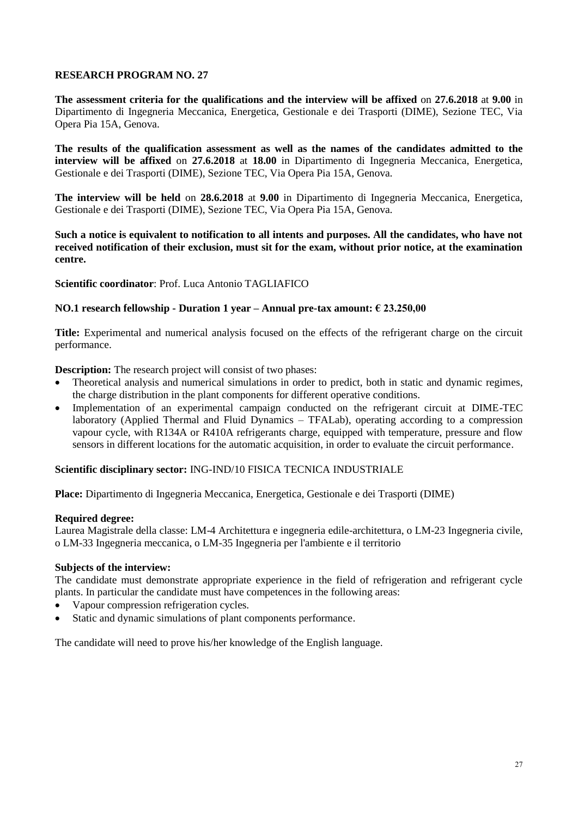**The assessment criteria for the qualifications and the interview will be affixed** on **27.6.2018** at **9.00** in Dipartimento di Ingegneria Meccanica, Energetica, Gestionale e dei Trasporti (DIME), Sezione TEC, Via Opera Pia 15A, Genova.

**The results of the qualification assessment as well as the names of the candidates admitted to the interview will be affixed** on **27.6.2018** at **18.00** in Dipartimento di Ingegneria Meccanica, Energetica, Gestionale e dei Trasporti (DIME), Sezione TEC, Via Opera Pia 15A, Genova.

**The interview will be held** on **28.6.2018** at **9.00** in Dipartimento di Ingegneria Meccanica, Energetica, Gestionale e dei Trasporti (DIME), Sezione TEC, Via Opera Pia 15A, Genova.

**Such a notice is equivalent to notification to all intents and purposes. All the candidates, who have not received notification of their exclusion, must sit for the exam, without prior notice, at the examination centre.**

**Scientific coordinator**: Prof. Luca Antonio TAGLIAFICO

## **NO.1 research fellowship - Duration 1 year – Annual pre-tax amount: € 23.250,00**

**Title:** Experimental and numerical analysis focused on the effects of the refrigerant charge on the circuit performance.

**Description:** The research project will consist of two phases:

- Theoretical analysis and numerical simulations in order to predict, both in static and dynamic regimes, the charge distribution in the plant components for different operative conditions.
- Implementation of an experimental campaign conducted on the refrigerant circuit at DIME-TEC laboratory (Applied Thermal and Fluid Dynamics – TFALab), operating according to a compression vapour cycle, with R134A or R410A refrigerants charge, equipped with temperature, pressure and flow sensors in different locations for the automatic acquisition, in order to evaluate the circuit performance.

## **Scientific disciplinary sector:** ING-IND/10 FISICA TECNICA INDUSTRIALE

**Place:** Dipartimento di Ingegneria Meccanica, Energetica, Gestionale e dei Trasporti (DIME)

#### **Required degree:**

Laurea Magistrale della classe: LM-4 Architettura e ingegneria edile-architettura, o LM-23 Ingegneria civile, o LM-33 Ingegneria meccanica, o LM-35 Ingegneria per l'ambiente e il territorio

#### **Subjects of the interview:**

The candidate must demonstrate appropriate experience in the field of refrigeration and refrigerant cycle plants. In particular the candidate must have competences in the following areas:

- Vapour compression refrigeration cycles.
- Static and dynamic simulations of plant components performance.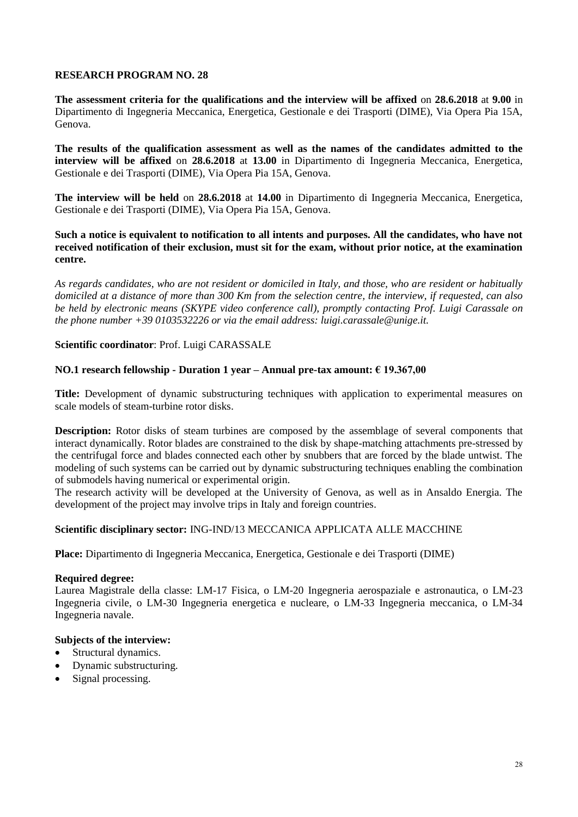**The assessment criteria for the qualifications and the interview will be affixed** on **28.6.2018** at **9.00** in Dipartimento di Ingegneria Meccanica, Energetica, Gestionale e dei Trasporti (DIME), Via Opera Pia 15A, Genova.

**The results of the qualification assessment as well as the names of the candidates admitted to the interview will be affixed** on **28.6.2018** at **13.00** in Dipartimento di Ingegneria Meccanica, Energetica, Gestionale e dei Trasporti (DIME), Via Opera Pia 15A, Genova.

**The interview will be held** on **28.6.2018** at **14.00** in Dipartimento di Ingegneria Meccanica, Energetica, Gestionale e dei Trasporti (DIME), Via Opera Pia 15A, Genova.

## **Such a notice is equivalent to notification to all intents and purposes. All the candidates, who have not received notification of their exclusion, must sit for the exam, without prior notice, at the examination centre.**

*As regards candidates, who are not resident or domiciled in Italy, and those, who are resident or habitually domiciled at a distance of more than 300 Km from the selection centre, the interview, if requested, can also be held by electronic means (SKYPE video conference call), promptly contacting Prof. Luigi Carassale on the phone number +39 0103532226 or via the email address: luigi.carassale@unige.it.* 

## **Scientific coordinator**: Prof. Luigi CARASSALE

# **NO.1 research fellowship - Duration 1 year – Annual pre-tax amount: € 19.367,00**

**Title:** Development of dynamic substructuring techniques with application to experimental measures on scale models of steam-turbine rotor disks.

**Description:** Rotor disks of steam turbines are composed by the assemblage of several components that interact dynamically. Rotor blades are constrained to the disk by shape-matching attachments pre-stressed by the centrifugal force and blades connected each other by snubbers that are forced by the blade untwist. The modeling of such systems can be carried out by dynamic substructuring techniques enabling the combination of submodels having numerical or experimental origin.

The research activity will be developed at the University of Genova, as well as in Ansaldo Energia. The development of the project may involve trips in Italy and foreign countries.

## **Scientific disciplinary sector:** ING-IND/13 MECCANICA APPLICATA ALLE MACCHINE

**Place:** Dipartimento di Ingegneria Meccanica, Energetica, Gestionale e dei Trasporti (DIME)

# **Required degree:**

Laurea Magistrale della classe: LM-17 Fisica, o LM-20 Ingegneria aerospaziale e astronautica, o LM-23 Ingegneria civile, o LM-30 Ingegneria energetica e nucleare, o LM-33 Ingegneria meccanica, o LM-34 Ingegneria navale.

- Structural dynamics.
- Dynamic substructuring.
- Signal processing.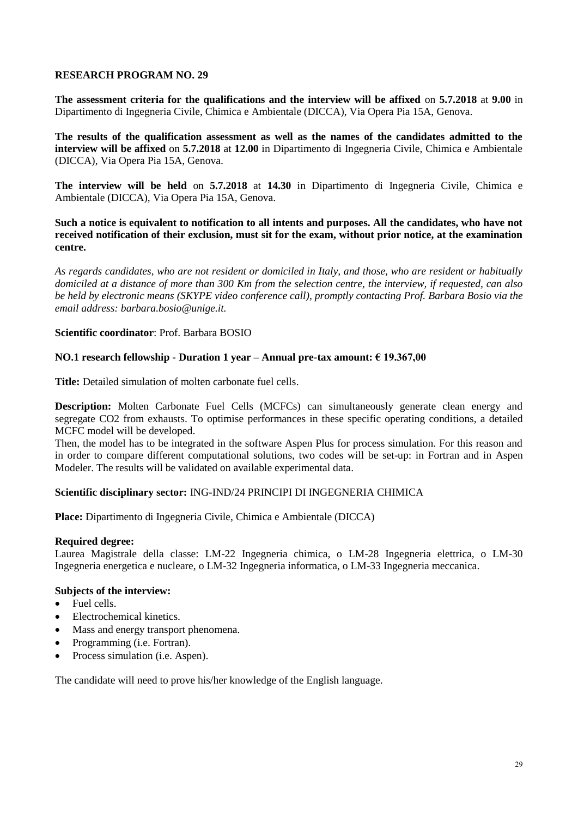**The assessment criteria for the qualifications and the interview will be affixed** on **5.7.2018** at **9.00** in Dipartimento di Ingegneria Civile, Chimica e Ambientale (DICCA), Via Opera Pia 15A, Genova.

**The results of the qualification assessment as well as the names of the candidates admitted to the interview will be affixed** on **5.7.2018** at **12.00** in Dipartimento di Ingegneria Civile, Chimica e Ambientale (DICCA), Via Opera Pia 15A, Genova.

**The interview will be held** on **5.7.2018** at **14.30** in Dipartimento di Ingegneria Civile, Chimica e Ambientale (DICCA), Via Opera Pia 15A, Genova.

**Such a notice is equivalent to notification to all intents and purposes. All the candidates, who have not received notification of their exclusion, must sit for the exam, without prior notice, at the examination centre.**

*As regards candidates, who are not resident or domiciled in Italy, and those, who are resident or habitually domiciled at a distance of more than 300 Km from the selection centre, the interview, if requested, can also be held by electronic means (SKYPE video conference call), promptly contacting Prof. Barbara Bosio via the email address: barbara.bosio@unige.it.*

## **Scientific coordinator**: Prof. Barbara BOSIO

## **NO.1 research fellowship - Duration 1 year – Annual pre-tax amount: € 19.367,00**

**Title:** Detailed simulation of molten carbonate fuel cells.

**Description:** Molten Carbonate Fuel Cells (MCFCs) can simultaneously generate clean energy and segregate CO2 from exhausts. To optimise performances in these specific operating conditions, a detailed MCFC model will be developed.

Then, the model has to be integrated in the software Aspen Plus for process simulation. For this reason and in order to compare different computational solutions, two codes will be set-up: in Fortran and in Aspen Modeler. The results will be validated on available experimental data.

## **Scientific disciplinary sector:** ING-IND/24 PRINCIPI DI INGEGNERIA CHIMICA

**Place:** Dipartimento di Ingegneria Civile, Chimica e Ambientale (DICCA)

## **Required degree:**

Laurea Magistrale della classe: LM-22 Ingegneria chimica, o LM-28 Ingegneria elettrica, o LM-30 Ingegneria energetica e nucleare, o LM-32 Ingegneria informatica, o LM-33 Ingegneria meccanica.

# **Subjects of the interview:**

- Fuel cells.
- Electrochemical kinetics.
- Mass and energy transport phenomena.
- Programming (i.e. Fortran).
- Process simulation (i.e. Aspen).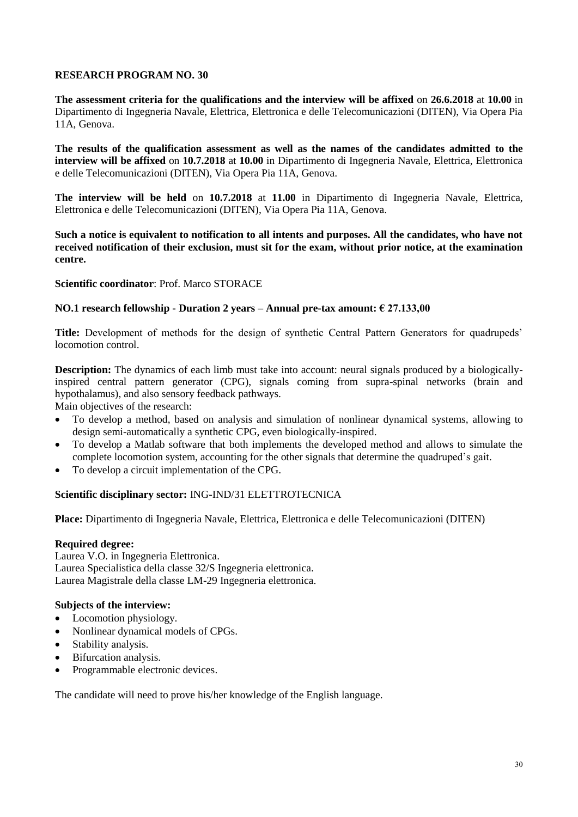**The assessment criteria for the qualifications and the interview will be affixed** on **26.6.2018** at **10.00** in Dipartimento di Ingegneria Navale, Elettrica, Elettronica e delle Telecomunicazioni (DITEN), Via Opera Pia 11A, Genova.

**The results of the qualification assessment as well as the names of the candidates admitted to the interview will be affixed** on **10.7.2018** at **10.00** in Dipartimento di Ingegneria Navale, Elettrica, Elettronica e delle Telecomunicazioni (DITEN), Via Opera Pia 11A, Genova.

**The interview will be held** on **10.7.2018** at **11.00** in Dipartimento di Ingegneria Navale, Elettrica, Elettronica e delle Telecomunicazioni (DITEN), Via Opera Pia 11A, Genova.

**Such a notice is equivalent to notification to all intents and purposes. All the candidates, who have not received notification of their exclusion, must sit for the exam, without prior notice, at the examination centre.**

## **Scientific coordinator**: Prof. Marco STORACE

## **NO.1 research fellowship - Duration 2 years – Annual pre-tax amount: € 27.133,00**

**Title:** Development of methods for the design of synthetic Central Pattern Generators for quadrupeds' locomotion control.

**Description:** The dynamics of each limb must take into account: neural signals produced by a biologicallyinspired central pattern generator (CPG), signals coming from supra-spinal networks (brain and hypothalamus), and also sensory feedback pathways.

Main objectives of the research:

- To develop a method, based on analysis and simulation of nonlinear dynamical systems, allowing to design semi-automatically a synthetic CPG, even biologically-inspired.
- To develop a Matlab software that both implements the developed method and allows to simulate the complete locomotion system, accounting for the other signals that determine the quadruped's gait.
- To develop a circuit implementation of the CPG.

## **Scientific disciplinary sector:** ING-IND/31 ELETTROTECNICA

**Place:** Dipartimento di Ingegneria Navale, Elettrica, Elettronica e delle Telecomunicazioni (DITEN)

#### **Required degree:**

Laurea V.O. in Ingegneria Elettronica. Laurea Specialistica della classe 32/S Ingegneria elettronica. Laurea Magistrale della classe LM-29 Ingegneria elettronica.

## **Subjects of the interview:**

- Locomotion physiology.
- Nonlinear dynamical models of CPGs.
- Stability analysis.
- Bifurcation analysis.
- Programmable electronic devices.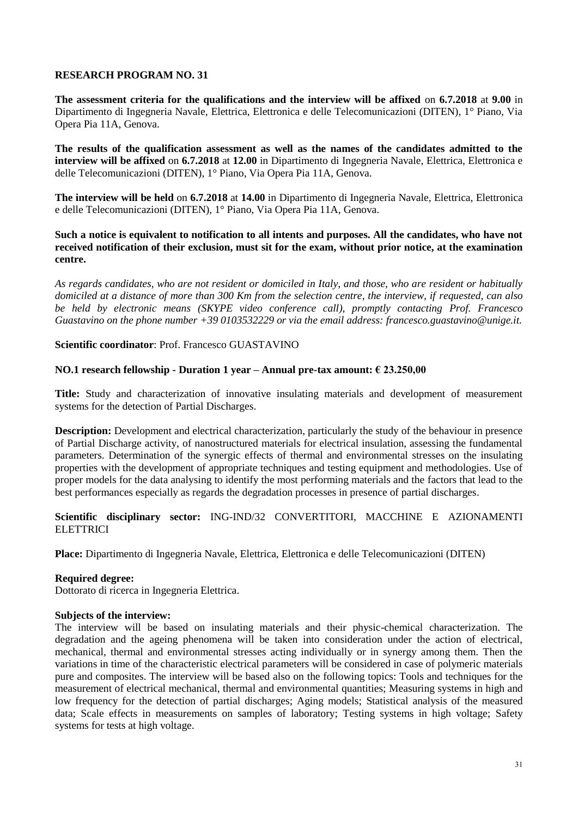**The assessment criteria for the qualifications and the interview will be affixed** on **6.7.2018** at **9.00** in Dipartimento di Ingegneria Navale, Elettrica, Elettronica e delle Telecomunicazioni (DITEN), 1° Piano, Via Opera Pia 11A, Genova.

**The results of the qualification assessment as well as the names of the candidates admitted to the interview will be affixed** on **6.7.2018** at **12.00** in Dipartimento di Ingegneria Navale, Elettrica, Elettronica e delle Telecomunicazioni (DITEN), 1° Piano, Via Opera Pia 11A, Genova.

**The interview will be held** on **6.7.2018** at **14.00** in Dipartimento di Ingegneria Navale, Elettrica, Elettronica e delle Telecomunicazioni (DITEN), 1° Piano, Via Opera Pia 11A, Genova.

## **Such a notice is equivalent to notification to all intents and purposes. All the candidates, who have not received notification of their exclusion, must sit for the exam, without prior notice, at the examination centre.**

*As regards candidates, who are not resident or domiciled in Italy, and those, who are resident or habitually domiciled at a distance of more than 300 Km from the selection centre, the interview, if requested, can also be held by electronic means (SKYPE video conference call), promptly contacting Prof. Francesco Guastavino on the phone number +39 0103532229 or via the email address: francesco.guastavino@unige.it.*

**Scientific coordinator**: Prof. Francesco GUASTAVINO

## **NO.1 research fellowship - Duration 1 year – Annual pre-tax amount: € 23.250,00**

**Title:** Study and characterization of innovative insulating materials and development of measurement systems for the detection of Partial Discharges.

**Description:** Development and electrical characterization, particularly the study of the behaviour in presence of Partial Discharge activity, of nanostructured materials for electrical insulation, assessing the fundamental parameters. Determination of the synergic effects of thermal and environmental stresses on the insulating properties with the development of appropriate techniques and testing equipment and methodologies. Use of proper models for the data analysing to identify the most performing materials and the factors that lead to the best performances especially as regards the degradation processes in presence of partial discharges.

**Scientific disciplinary sector:** ING-IND/32 CONVERTITORI, MACCHINE E AZIONAMENTI **ELETTRICI** 

**Place:** Dipartimento di Ingegneria Navale, Elettrica, Elettronica e delle Telecomunicazioni (DITEN)

# **Required degree:**

Dottorato di ricerca in Ingegneria Elettrica.

#### **Subjects of the interview:**

The interview will be based on insulating materials and their physic-chemical characterization. The degradation and the ageing phenomena will be taken into consideration under the action of electrical, mechanical, thermal and environmental stresses acting individually or in synergy among them. Then the variations in time of the characteristic electrical parameters will be considered in case of polymeric materials pure and composites. The interview will be based also on the following topics: Tools and techniques for the measurement of electrical mechanical, thermal and environmental quantities; Measuring systems in high and low frequency for the detection of partial discharges; Aging models; Statistical analysis of the measured data; Scale effects in measurements on samples of laboratory; Testing systems in high voltage; Safety systems for tests at high voltage.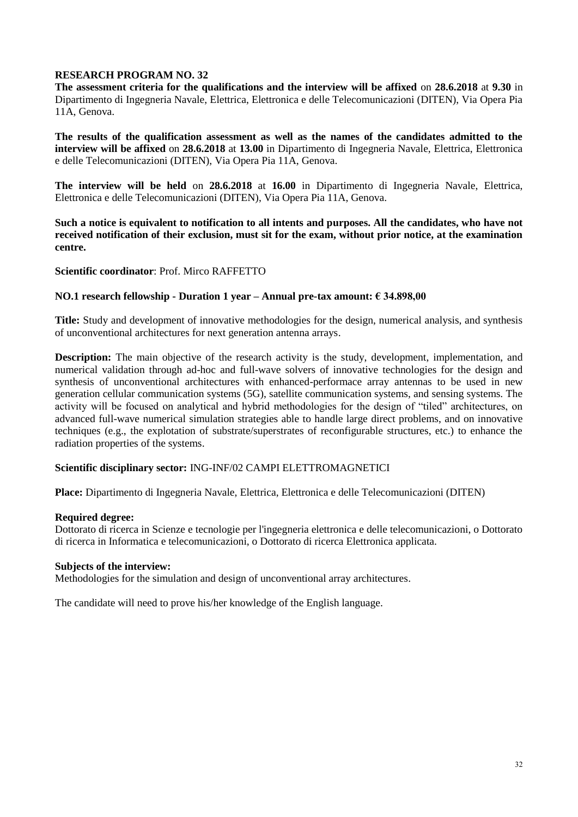**The assessment criteria for the qualifications and the interview will be affixed** on **28.6.2018** at **9.30** in Dipartimento di Ingegneria Navale, Elettrica, Elettronica e delle Telecomunicazioni (DITEN), Via Opera Pia 11A, Genova.

**The results of the qualification assessment as well as the names of the candidates admitted to the interview will be affixed** on **28.6.2018** at **13.00** in Dipartimento di Ingegneria Navale, Elettrica, Elettronica e delle Telecomunicazioni (DITEN), Via Opera Pia 11A, Genova.

**The interview will be held** on **28.6.2018** at **16.00** in Dipartimento di Ingegneria Navale, Elettrica, Elettronica e delle Telecomunicazioni (DITEN), Via Opera Pia 11A, Genova.

**Such a notice is equivalent to notification to all intents and purposes. All the candidates, who have not received notification of their exclusion, must sit for the exam, without prior notice, at the examination centre.**

# **Scientific coordinator**: Prof. Mirco RAFFETTO

## **NO.1 research fellowship - Duration 1 year – Annual pre-tax amount: € 34.898,00**

**Title:** Study and development of innovative methodologies for the design, numerical analysis, and synthesis of unconventional architectures for next generation antenna arrays.

**Description:** The main objective of the research activity is the study, development, implementation, and numerical validation through ad-hoc and full-wave solvers of innovative technologies for the design and synthesis of unconventional architectures with enhanced-performace array antennas to be used in new generation cellular communication systems (5G), satellite communication systems, and sensing systems. The activity will be focused on analytical and hybrid methodologies for the design of "tiled" architectures, on advanced full-wave numerical simulation strategies able to handle large direct problems, and on innovative techniques (e.g., the explotation of substrate/superstrates of reconfigurable structures, etc.) to enhance the radiation properties of the systems.

## **Scientific disciplinary sector:** ING-INF/02 CAMPI ELETTROMAGNETICI

**Place:** Dipartimento di Ingegneria Navale, Elettrica, Elettronica e delle Telecomunicazioni (DITEN)

#### **Required degree:**

Dottorato di ricerca in Scienze e tecnologie per l'ingegneria elettronica e delle telecomunicazioni, o Dottorato di ricerca in Informatica e telecomunicazioni, o Dottorato di ricerca Elettronica applicata.

#### **Subjects of the interview:**

Methodologies for the simulation and design of unconventional array architectures.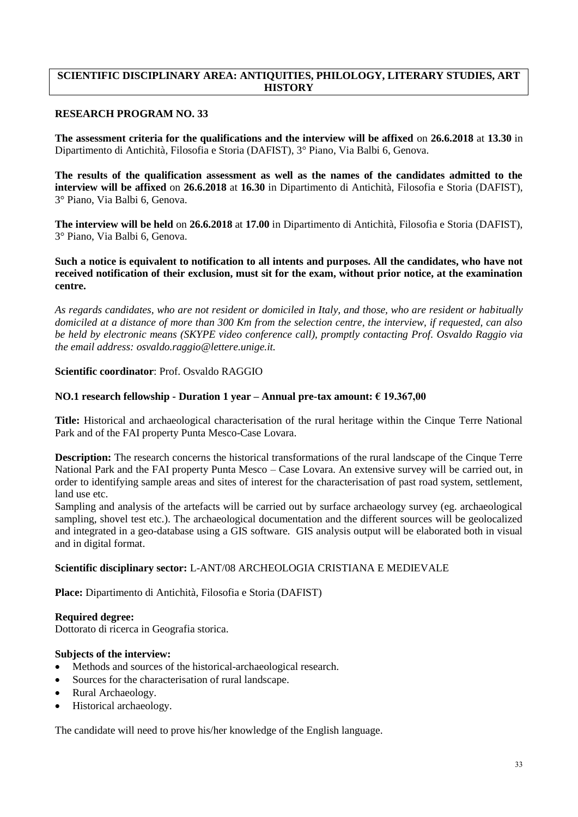# **SCIENTIFIC DISCIPLINARY AREA: ANTIQUITIES, PHILOLOGY, LITERARY STUDIES, ART HISTORY**

## **RESEARCH PROGRAM NO. 33**

**The assessment criteria for the qualifications and the interview will be affixed** on **26.6.2018** at **13.30** in Dipartimento di Antichità, Filosofia e Storia (DAFIST), 3° Piano, Via Balbi 6, Genova.

**The results of the qualification assessment as well as the names of the candidates admitted to the interview will be affixed** on **26.6.2018** at **16.30** in Dipartimento di Antichità, Filosofia e Storia (DAFIST), 3° Piano, Via Balbi 6, Genova.

**The interview will be held** on **26.6.2018** at **17.00** in Dipartimento di Antichità, Filosofia e Storia (DAFIST), 3° Piano, Via Balbi 6, Genova.

**Such a notice is equivalent to notification to all intents and purposes. All the candidates, who have not received notification of their exclusion, must sit for the exam, without prior notice, at the examination centre.**

*As regards candidates, who are not resident or domiciled in Italy, and those, who are resident or habitually domiciled at a distance of more than 300 Km from the selection centre, the interview, if requested, can also be held by electronic means (SKYPE video conference call), promptly contacting Prof. Osvaldo Raggio via the email address: osvaldo.raggio@lettere.unige.it.*

## **Scientific coordinator**: Prof. Osvaldo RAGGIO

#### **NO.1 research fellowship - Duration 1 year – Annual pre-tax amount: € 19.367,00**

**Title:** Historical and archaeological characterisation of the rural heritage within the Cinque Terre National Park and of the FAI property Punta Mesco-Case Lovara.

**Description:** The research concerns the historical transformations of the rural landscape of the Cinque Terre National Park and the FAI property Punta Mesco – Case Lovara. An extensive survey will be carried out, in order to identifying sample areas and sites of interest for the characterisation of past road system, settlement, land use etc.

Sampling and analysis of the artefacts will be carried out by surface archaeology survey (eg. archaeological sampling, shovel test etc.). The archaeological documentation and the different sources will be geolocalized and integrated in a geo-database using a GIS software. GIS analysis output will be elaborated both in visual and in digital format.

#### **Scientific disciplinary sector:** L-ANT/08 ARCHEOLOGIA CRISTIANA E MEDIEVALE

**Place:** Dipartimento di Antichità, Filosofia e Storia (DAFIST)

**Required degree:**

Dottorato di ricerca in Geografia storica.

## **Subjects of the interview:**

- Methods and sources of the historical-archaeological research.
- Sources for the characterisation of rural landscape.
- Rural Archaeology.
- Historical archaeology.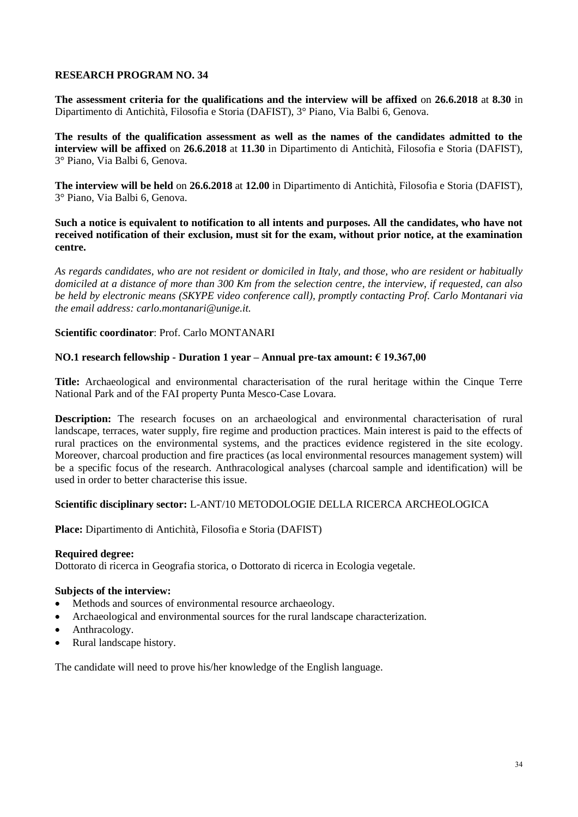**The assessment criteria for the qualifications and the interview will be affixed** on **26.6.2018** at **8.30** in Dipartimento di Antichità, Filosofia e Storia (DAFIST), 3° Piano, Via Balbi 6, Genova.

**The results of the qualification assessment as well as the names of the candidates admitted to the interview will be affixed** on **26.6.2018** at **11.30** in Dipartimento di Antichità, Filosofia e Storia (DAFIST), 3° Piano, Via Balbi 6, Genova.

**The interview will be held** on **26.6.2018** at **12.00** in Dipartimento di Antichità, Filosofia e Storia (DAFIST), 3° Piano, Via Balbi 6, Genova.

**Such a notice is equivalent to notification to all intents and purposes. All the candidates, who have not received notification of their exclusion, must sit for the exam, without prior notice, at the examination centre.**

*As regards candidates, who are not resident or domiciled in Italy, and those, who are resident or habitually domiciled at a distance of more than 300 Km from the selection centre, the interview, if requested, can also be held by electronic means (SKYPE video conference call), promptly contacting Prof. Carlo Montanari via the email address: carlo.montanari@unige.it.*

## **Scientific coordinator**: Prof. Carlo MONTANARI

# **NO.1 research fellowship - Duration 1 year – Annual pre-tax amount: € 19.367,00**

**Title:** Archaeological and environmental characterisation of the rural heritage within the Cinque Terre National Park and of the FAI property Punta Mesco-Case Lovara.

**Description:** The research focuses on an archaeological and environmental characterisation of rural landscape, terraces, water supply, fire regime and production practices. Main interest is paid to the effects of rural practices on the environmental systems, and the practices evidence registered in the site ecology. Moreover, charcoal production and fire practices (as local environmental resources management system) will be a specific focus of the research. Anthracological analyses (charcoal sample and identification) will be used in order to better characterise this issue.

## **Scientific disciplinary sector:** L-ANT/10 METODOLOGIE DELLA RICERCA ARCHEOLOGICA

**Place:** Dipartimento di Antichità, Filosofia e Storia (DAFIST)

## **Required degree:**

Dottorato di ricerca in Geografia storica, o Dottorato di ricerca in Ecologia vegetale.

## **Subjects of the interview:**

- Methods and sources of environmental resource archaeology.
- Archaeological and environmental sources for the rural landscape characterization.
- Anthracology.
- Rural landscape history.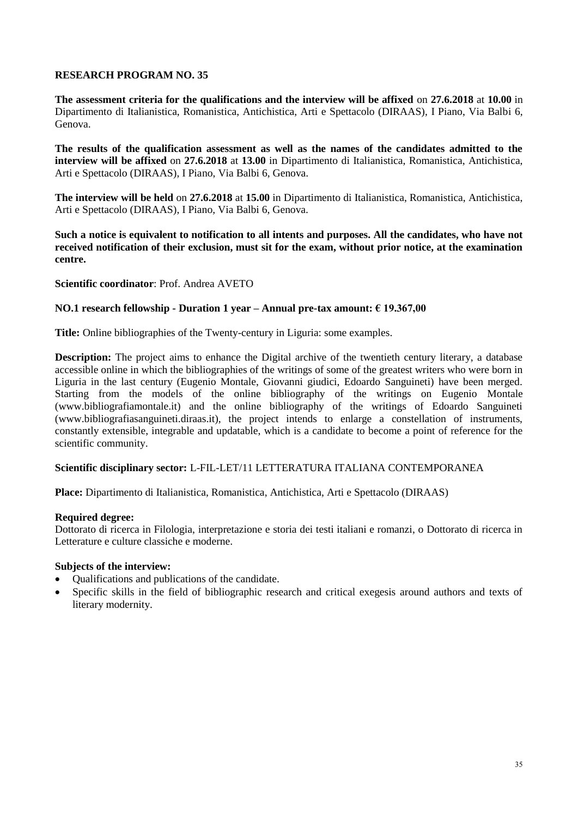**The assessment criteria for the qualifications and the interview will be affixed** on **27.6.2018** at **10.00** in Dipartimento di Italianistica, Romanistica, Antichistica, Arti e Spettacolo (DIRAAS), I Piano, Via Balbi 6, Genova.

**The results of the qualification assessment as well as the names of the candidates admitted to the interview will be affixed** on **27.6.2018** at **13.00** in Dipartimento di Italianistica, Romanistica, Antichistica, Arti e Spettacolo (DIRAAS), I Piano, Via Balbi 6, Genova.

**The interview will be held** on **27.6.2018** at **15.00** in Dipartimento di Italianistica, Romanistica, Antichistica, Arti e Spettacolo (DIRAAS), I Piano, Via Balbi 6, Genova.

**Such a notice is equivalent to notification to all intents and purposes. All the candidates, who have not received notification of their exclusion, must sit for the exam, without prior notice, at the examination centre.**

## **Scientific coordinator**: Prof. Andrea AVETO

#### **NO.1 research fellowship - Duration 1 year – Annual pre-tax amount: € 19.367,00**

**Title:** Online bibliographies of the Twenty-century in Liguria: some examples.

**Description:** The project aims to enhance the Digital archive of the twentieth century literary, a database accessible online in which the bibliographies of the writings of some of the greatest writers who were born in Liguria in the last century (Eugenio Montale, Giovanni giudici, Edoardo Sanguineti) have been merged. Starting from the models of the online bibliography of the writings on Eugenio Montale (www.bibliografiamontale.it) and the online bibliography of the writings of Edoardo Sanguineti (www.bibliografiasanguineti.diraas.it), the project intends to enlarge a constellation of instruments, constantly extensible, integrable and updatable, which is a candidate to become a point of reference for the scientific community.

#### **Scientific disciplinary sector:** L-FIL-LET/11 LETTERATURA ITALIANA CONTEMPORANEA

**Place:** Dipartimento di Italianistica, Romanistica, Antichistica, Arti e Spettacolo (DIRAAS)

#### **Required degree:**

Dottorato di ricerca in Filologia, interpretazione e storia dei testi italiani e romanzi, o Dottorato di ricerca in Letterature e culture classiche e moderne.

- Qualifications and publications of the candidate.
- Specific skills in the field of bibliographic research and critical exegesis around authors and texts of literary modernity.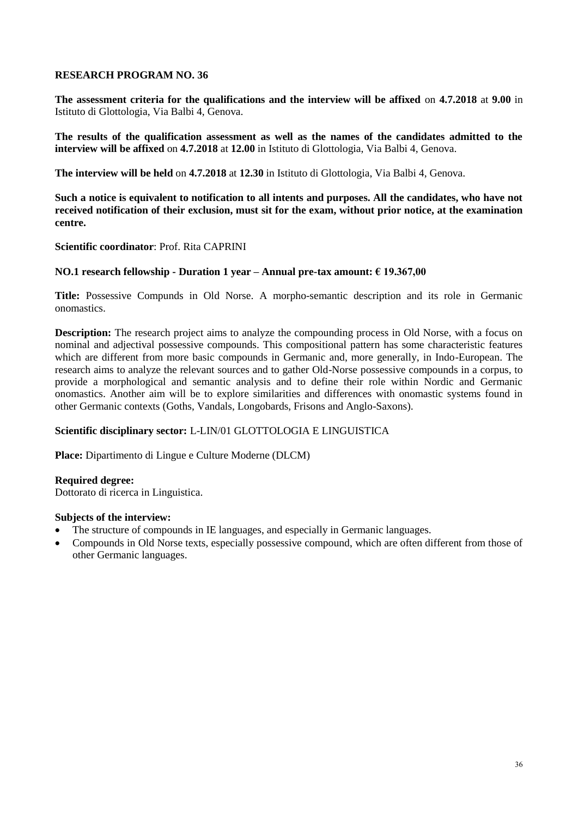**The assessment criteria for the qualifications and the interview will be affixed** on **4.7.2018** at **9.00** in Istituto di Glottologia, Via Balbi 4, Genova.

**The results of the qualification assessment as well as the names of the candidates admitted to the interview will be affixed** on **4.7.2018** at **12.00** in Istituto di Glottologia, Via Balbi 4, Genova.

**The interview will be held** on **4.7.2018** at **12.30** in Istituto di Glottologia, Via Balbi 4, Genova.

**Such a notice is equivalent to notification to all intents and purposes. All the candidates, who have not received notification of their exclusion, must sit for the exam, without prior notice, at the examination centre.**

**Scientific coordinator**: Prof. Rita CAPRINI

## **NO.1 research fellowship - Duration 1 year – Annual pre-tax amount: € 19.367,00**

**Title:** Possessive Compunds in Old Norse. A morpho-semantic description and its role in Germanic onomastics.

**Description:** The research project aims to analyze the compounding process in Old Norse, with a focus on nominal and adjectival possessive compounds. This compositional pattern has some characteristic features which are different from more basic compounds in Germanic and, more generally, in Indo-European. The research aims to analyze the relevant sources and to gather Old-Norse possessive compounds in a corpus, to provide a morphological and semantic analysis and to define their role within Nordic and Germanic onomastics. Another aim will be to explore similarities and differences with onomastic systems found in other Germanic contexts (Goths, Vandals, Longobards, Frisons and Anglo-Saxons).

## **Scientific disciplinary sector:** L-LIN/01 GLOTTOLOGIA E LINGUISTICA

**Place:** Dipartimento di Lingue e Culture Moderne (DLCM)

#### **Required degree:**

Dottorato di ricerca in Linguistica.

- The structure of compounds in IE languages, and especially in Germanic languages.
- Compounds in Old Norse texts, especially possessive compound, which are often different from those of other Germanic languages.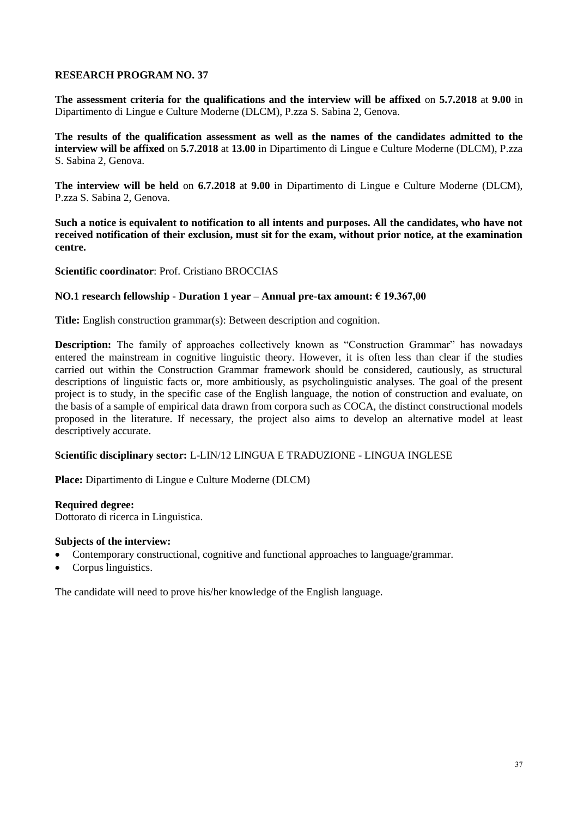**The assessment criteria for the qualifications and the interview will be affixed** on **5.7.2018** at **9.00** in Dipartimento di Lingue e Culture Moderne (DLCM), P.zza S. Sabina 2, Genova.

**The results of the qualification assessment as well as the names of the candidates admitted to the interview will be affixed** on **5.7.2018** at **13.00** in Dipartimento di Lingue e Culture Moderne (DLCM), P.zza S. Sabina 2, Genova.

**The interview will be held** on **6.7.2018** at **9.00** in Dipartimento di Lingue e Culture Moderne (DLCM), P.zza S. Sabina 2, Genova.

**Such a notice is equivalent to notification to all intents and purposes. All the candidates, who have not received notification of their exclusion, must sit for the exam, without prior notice, at the examination centre.**

**Scientific coordinator**: Prof. Cristiano BROCCIAS

## **NO.1 research fellowship - Duration 1 year – Annual pre-tax amount: € 19.367,00**

**Title:** English construction grammar(s): Between description and cognition.

**Description:** The family of approaches collectively known as "Construction Grammar" has nowadays entered the mainstream in cognitive linguistic theory. However, it is often less than clear if the studies carried out within the Construction Grammar framework should be considered, cautiously, as structural descriptions of linguistic facts or, more ambitiously, as psycholinguistic analyses. The goal of the present project is to study, in the specific case of the English language, the notion of construction and evaluate, on the basis of a sample of empirical data drawn from corpora such as COCA, the distinct constructional models proposed in the literature. If necessary, the project also aims to develop an alternative model at least descriptively accurate.

## **Scientific disciplinary sector:** L-LIN/12 LINGUA E TRADUZIONE - LINGUA INGLESE

**Place:** Dipartimento di Lingue e Culture Moderne (DLCM)

**Required degree:**

Dottorato di ricerca in Linguistica.

## **Subjects of the interview:**

- Contemporary constructional, cognitive and functional approaches to language/grammar.
- Corpus linguistics.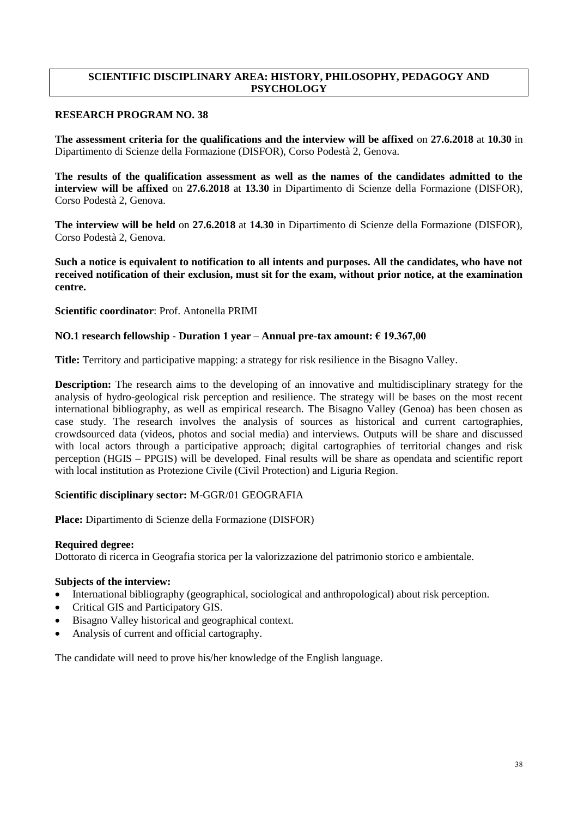# **SCIENTIFIC DISCIPLINARY AREA: HISTORY, PHILOSOPHY, PEDAGOGY AND PSYCHOLOGY**

## **RESEARCH PROGRAM NO. 38**

**The assessment criteria for the qualifications and the interview will be affixed** on **27.6.2018** at **10.30** in Dipartimento di Scienze della Formazione (DISFOR), Corso Podestà 2, Genova.

**The results of the qualification assessment as well as the names of the candidates admitted to the interview will be affixed** on **27.6.2018** at **13.30** in Dipartimento di Scienze della Formazione (DISFOR), Corso Podestà 2, Genova.

**The interview will be held** on **27.6.2018** at **14.30** in Dipartimento di Scienze della Formazione (DISFOR), Corso Podestà 2, Genova.

**Such a notice is equivalent to notification to all intents and purposes. All the candidates, who have not received notification of their exclusion, must sit for the exam, without prior notice, at the examination centre.**

#### **Scientific coordinator**: Prof. Antonella PRIMI

## **NO.1 research fellowship - Duration 1 year – Annual pre-tax amount: € 19.367,00**

**Title:** Territory and participative mapping: a strategy for risk resilience in the Bisagno Valley.

**Description:** The research aims to the developing of an innovative and multidisciplinary strategy for the analysis of hydro-geological risk perception and resilience. The strategy will be bases on the most recent international bibliography, as well as empirical research. The Bisagno Valley (Genoa) has been chosen as case study. The research involves the analysis of sources as historical and current cartographies, crowdsourced data (videos, photos and social media) and interviews. Outputs will be share and discussed with local actors through a participative approach; digital cartographies of territorial changes and risk perception (HGIS – PPGIS) will be developed. Final results will be share as opendata and scientific report with local institution as Protezione Civile (Civil Protection) and Liguria Region.

## **Scientific disciplinary sector:** M-GGR/01 GEOGRAFIA

**Place:** Dipartimento di Scienze della Formazione (DISFOR)

#### **Required degree:**

Dottorato di ricerca in Geografia storica per la valorizzazione del patrimonio storico e ambientale.

#### **Subjects of the interview:**

- International bibliography (geographical, sociological and anthropological) about risk perception.
- Critical GIS and Participatory GIS.
- Bisagno Valley historical and geographical context.
- Analysis of current and official cartography.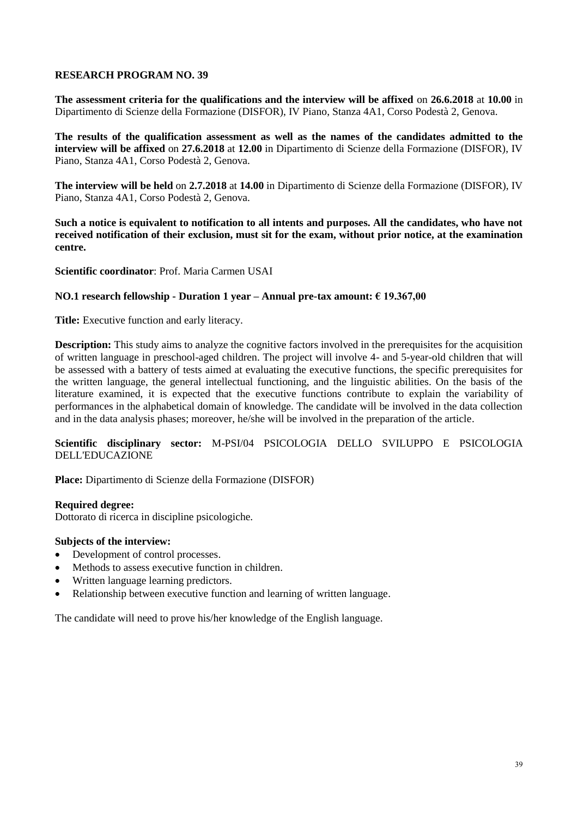**The assessment criteria for the qualifications and the interview will be affixed** on **26.6.2018** at **10.00** in Dipartimento di Scienze della Formazione (DISFOR), IV Piano, Stanza 4A1, Corso Podestà 2, Genova.

**The results of the qualification assessment as well as the names of the candidates admitted to the interview will be affixed** on **27.6.2018** at **12.00** in Dipartimento di Scienze della Formazione (DISFOR), IV Piano, Stanza 4A1, Corso Podestà 2, Genova.

**The interview will be held** on **2.7.2018** at **14.00** in Dipartimento di Scienze della Formazione (DISFOR), IV Piano, Stanza 4A1, Corso Podestà 2, Genova.

**Such a notice is equivalent to notification to all intents and purposes. All the candidates, who have not received notification of their exclusion, must sit for the exam, without prior notice, at the examination centre.**

**Scientific coordinator**: Prof. Maria Carmen USAI

## **NO.1 research fellowship - Duration 1 year – Annual pre-tax amount: € 19.367,00**

**Title:** Executive function and early literacy.

**Description:** This study aims to analyze the cognitive factors involved in the prerequisites for the acquisition of written language in preschool-aged children. The project will involve 4- and 5-year-old children that will be assessed with a battery of tests aimed at evaluating the executive functions, the specific prerequisites for the written language, the general intellectual functioning, and the linguistic abilities. On the basis of the literature examined, it is expected that the executive functions contribute to explain the variability of performances in the alphabetical domain of knowledge. The candidate will be involved in the data collection and in the data analysis phases; moreover, he/she will be involved in the preparation of the article.

**Scientific disciplinary sector:** M-PSI/04 PSICOLOGIA DELLO SVILUPPO E PSICOLOGIA DELL'EDUCAZIONE

**Place:** Dipartimento di Scienze della Formazione (DISFOR)

## **Required degree:**

Dottorato di ricerca in discipline psicologiche.

## **Subjects of the interview:**

- Development of control processes.
- Methods to assess executive function in children.
- Written language learning predictors.
- Relationship between executive function and learning of written language.